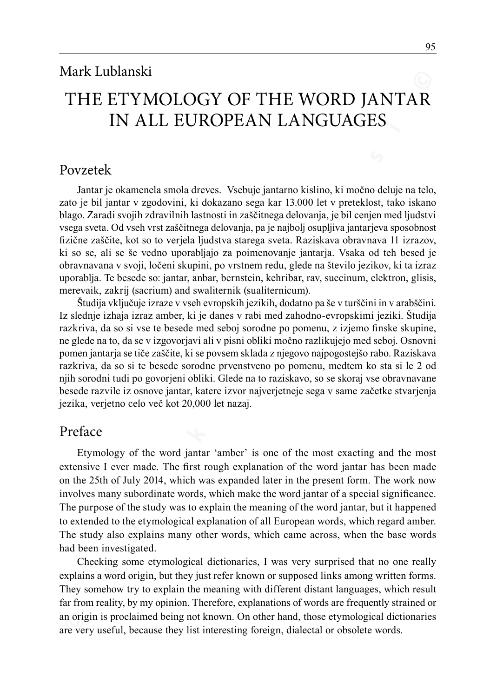# The Etymology of the Word Jantar in all European Languages

## Povzetek

Jantar je okamenela smola dreves. Vsebuje jantarno kislino, ki močno deluje na telo, zato je bil jantar v zgodovini, ki dokazano sega kar 13.000 let v preteklost, tako iskano blago. Zaradi svojih zdravilnih lastnosti in zaščitnega delovanja, je bil cenjen med ljudstvi vsega sveta. Od vseh vrst zaščitnega delovanja, pa je najbolj osupljiva jantarjeva sposobnost fizične zaščite, kot so to verjela ljudstva starega sveta. Raziskava obravnava 11 izrazov, ki so se, ali se še vedno uporabljajo za poimenovanje jantarja. Vsaka od teh besed je obravnavana v svoji, ločeni skupini, po vrstnem redu, glede na število jezikov, ki ta izraz uporablja. Te besede so: jantar, anbar, bernstein, kehribar, rav, succinum, elektron, glisis, merevaik, zakrij (sacrium) and swaliternik (sualiternicum).

**THE ETYMOLOGY OF THE WORD JANTARY**<br> **THE ETYMOLOGY OF THE WORD JANTARY**<br>
DVECT THE ETYMOLOGY CONT IS ANDED AND TARY<br>
DVECT TRIE INTO A REFORE THE SURFORM CONTINUE INTO THE SURFORM DURING THE SURFORM DURING THE SURFORM CON Študija vključuje izraze v vseh evropskih jezikih, dodatno pa še v turščini in v arabščini. Iz slednje izhaja izraz amber, ki je danes v rabi med zahodno-evropskimi jeziki. Študija razkriva, da so si vse te besede med seboj sorodne po pomenu, z izjemo finske skupine, ne glede na to, da se v izgovorjavi ali v pisni obliki močno razlikujejo med seboj. Osnovni pomen jantarja se tiče zaščite, ki se povsem sklada z njegovo najpogostejšo rabo. Raziskava razkriva, da so si te besede sorodne prvenstveno po pomenu, medtem ko sta si le 2 od njih sorodni tudi po govorjeni obliki. Glede na to raziskavo, so se skoraj vse obravnavane besede razvile iz osnove jantar, katere izvor najverjetneje sega v same začetke stvarjenja jezika, verjetno celo več kot 20,000 let nazaj.

## Preface

Etymology of the word jantar 'amber' is one of the most exacting and the most extensive I ever made. The first rough explanation of the word jantar has been made on the 25th of July 2014, which was expanded later in the present form. The work now involves many subordinate words, which make the word jantar of a special significance. The purpose of the study was to explain the meaning of the word jantar, but it happened to extended to the etymological explanation of all European words, which regard amber. The study also explains many other words, which came across, when the base words had been investigated.

Checking some etymological dictionaries, I was very surprised that no one really explains a word origin, but they just refer known or supposed links among written forms. They somehow try to explain the meaning with different distant languages, which result far from reality, by my opinion. Therefore, explanations of words are frequently strained or an origin is proclaimed being not known. On other hand, those etymological dictionaries are very useful, because they list interesting foreign, dialectal or obsolete words.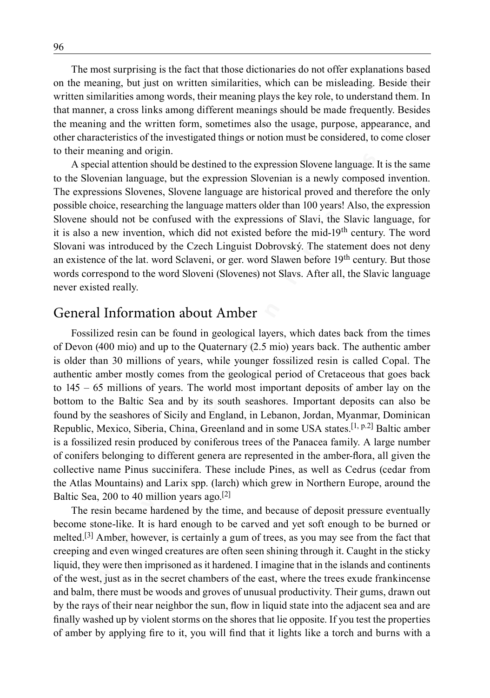The most surprising is the fact that those dictionaries do not offer explanations based on the meaning, but just on written similarities, which can be misleading. Beside their written similarities among words, their meaning plays the key role, to understand them. In that manner, a cross links among different meanings should be made frequently. Besides the meaning and the written form, sometimes also the usage, purpose, appearance, and other characteristics of the investigated things or notion must be considered, to come closer to their meaning and origin.

A special attention should be destined to the expression Slovene language. It is the same to the Slovenian language, but the expression Slovenian is a newly composed invention. The expressions Slovenes, Slovene language are historical proved and therefore the only possible choice, researching the language matters older than 100 years! Also, the expression Slovene should not be confused with the expressions of Slavi, the Slavic language, for it is also a new invention, which did not existed before the mid-19<sup>th</sup> century. The word Slovani was introduced by the Czech Linguist Dobrovský. The statement does not deny an existence of the lat. word Sclaveni, or ger. word Slawen before 19<sup>th</sup> century. But those words correspond to the word Sloveni (Slovenes) not Slavs. After all, the Slavic language never existed really.

#### General Information about Amber

**w** the meaning, but just on written similarities, which can be misleading. Reside their with the meaning, but just on written similarities, which can be misleading. Reside their with the meaning that meaning plays the ky Fossilized resin can be found in geological layers, which dates back from the times of Devon (400 mio) and up to the Quaternary (2.5 mio) years back. The authentic amber is older than 30 millions of years, while younger fossilized resin is called Copal. The authentic amber mostly comes from the geological period of Cretaceous that goes back to 145 – 65 millions of years. The world most important deposits of amber lay on the bottom to the Baltic Sea and by its south seashores. Important deposits can also be found by the seashores of Sicily and England, in Lebanon, Jordan, Myanmar, Dominican Republic, Mexico, Siberia, China, Greenland and in some USA states.[1, p.2] Baltic amber is a fossilized resin produced by coniferous trees of the Panacea family. A large number of conifers belonging to different genera are represented in the amber-flora, all given the collective name Pinus succinifera. These include Pines, as well as Cedrus (cedar from the Atlas Mountains) and Larix spp. (larch) which grew in Northern Europe, around the Baltic Sea, 200 to 40 million years ago.<sup>[2]</sup>

The resin became hardened by the time, and because of deposit pressure eventually become stone-like. It is hard enough to be carved and yet soft enough to be burned or melted.<sup>[3]</sup> Amber, however, is certainly a gum of trees, as you may see from the fact that creeping and even winged creatures are often seen shining through it. Caught in the sticky liquid, they were then imprisoned as it hardened. I imagine that in the islands and continents of the west, just as in the secret chambers of the east, where the trees exude frankincense and balm, there must be woods and groves of unusual productivity. Their gums, drawn out by the rays of their near neighbor the sun, flow in liquid state into the adjacent sea and are finally washed up by violent storms on the shores that lie opposite. If you test the properties of amber by applying fire to it, you will find that it lights like a torch and burns with a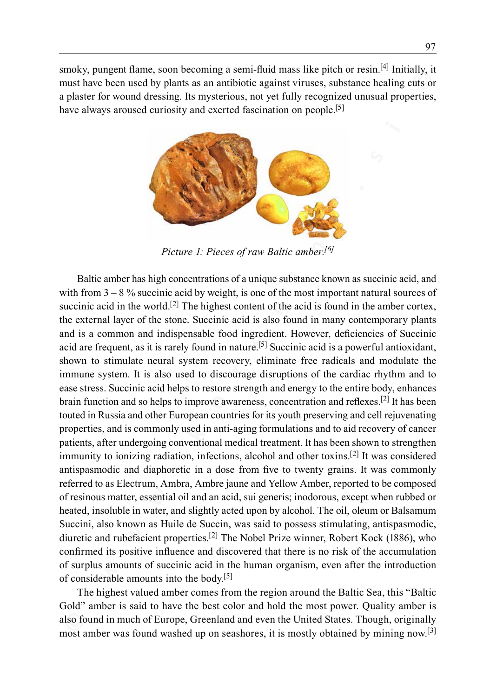smoky, pungent flame, soon becoming a semi-fluid mass like pitch or resin.<sup>[4]</sup> Initially, it must have been used by plants as an antibiotic against viruses, substance healing cuts or a plaster for wound dressing. Its mysterious, not yet fully recognized unusual properties, have always aroused curiosity and exerted fascination on people.<sup>[5]</sup>



*Picture 1: Pieces of raw Baltic amber.[6]*

**Exterior is a series of the second and series of the second that the second that the second that the second that the second that the pole is a control detailing that the planet for wound dressing. Its hypercompared the pl** Baltic amber has high concentrations of a unique substance known as succinic acid, and with from  $3 - 8$ % succinic acid by weight, is one of the most important natural sources of succinic acid in the world.<sup>[2]</sup> The highest content of the acid is found in the amber cortex, the external layer of the stone. Succinic acid is also found in many contemporary plants and is a common and indispensable food ingredient. However, deficiencies of Succinic acid are frequent, as it is rarely found in nature.<sup>[5]</sup> Succinic acid is a powerful antioxidant, shown to stimulate neural system recovery, eliminate free radicals and modulate the immune system. It is also used to discourage disruptions of the cardiac rhythm and to ease stress. Succinic acid helps to restore strength and energy to the entire body, enhances brain function and so helps to improve awareness, concentration and reflexes.[2] It has been touted in Russia and other European countries for its youth preserving and cell rejuvenating properties, and is commonly used in anti-aging formulations and to aid recovery of cancer patients, after undergoing conventional medical treatment. It has been shown to strengthen immunity to ionizing radiation, infections, alcohol and other toxins.<sup>[2]</sup> It was considered antispasmodic and diaphoretic in a dose from five to twenty grains. It was commonly referred to as Electrum, Ambra, Ambre jaune and Yellow Amber, reported to be composed of resinous matter, essential oil and an acid, sui generis; inodorous, except when rubbed or heated, insoluble in water, and slightly acted upon by alcohol. The oil, oleum or Balsamum Succini, also known as Huile de Succin, was said to possess stimulating, antispasmodic, diuretic and rubefacient properties.[2] The Nobel Prize winner, Robert Kock (1886), who confirmed its positive influence and discovered that there is no risk of the accumulation of surplus amounts of succinic acid in the human organism, even after the introduction of considerable amounts into the body.[5]

The highest valued amber comes from the region around the Baltic Sea, this "Baltic Gold" amber is said to have the best color and hold the most power. Quality amber is also found in much of Europe, Greenland and even the United States. Though, originally most amber was found washed up on seashores, it is mostly obtained by mining now.<sup>[3]</sup>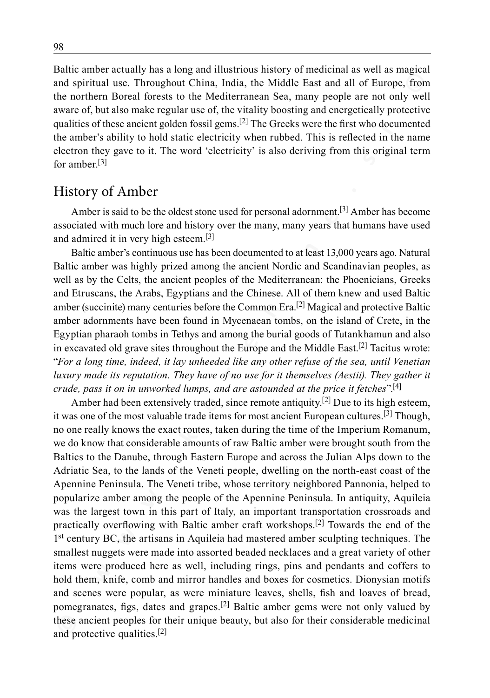Baltic amber actually has a long and illustrious history of medicinal as well as magical and spiritual use. Throughout China, India, the Middle East and all of Europe, from the northern Boreal forests to the Mediterranean Sea, many people are not only well aware of, but also make regular use of, the vitality boosting and energetically protective qualities of these ancient golden fossil gems.<sup>[2]</sup> The Greeks were the first who documented the amber's ability to hold static electricity when rubbed. This is reflected in the name electron they gave to it. The word 'electricity' is also deriving from this original term for amber $[3]$ 

### History of Amber

Amber is said to be the oldest stone used for personal adornment.<sup>[3]</sup> Amber has become associated with much lore and history over the many, many years that humans have used and admired it in very high esteem.[3]

Baltic amber's continuous use has been documented to at least 13,000 years ago. Natural Baltic amber was highly prized among the ancient Nordic and Scandinavian peoples, as well as by the Celts, the ancient peoples of the Mediterranean: the Phoenicians, Greeks and Etruscans, the Arabs, Egyptians and the Chinese. All of them knew and used Baltic amber (succinite) many centuries before the Common Era.<sup>[2]</sup> Magical and protective Baltic amber adornments have been found in Mycenaean tombs, on the island of Crete, in the Egyptian pharaoh tombs in Tethys and among the burial goods of Tutankhamun and also in excavated old grave sites throughout the Europe and the Middle East.<sup>[2]</sup> Tacitus wrote: "*For a long time, indeed, it lay unheeded like any other refuse of the sea, until Venetian luxury made its reputation. They have of no use for it themselves (Aestii). They gather it crude, pass it on in unworked lumps, and are astounded at the price it fetches*".[4]

and spiritual use. Throughout China, India, the Middle Fast and all of Farope, from the nonthern Brows to the helicar many prope are not only well-<br>and spiritual use. Throughout China, India, the Middle Fast and all of Fa Amber had been extensively traded, since remote antiquity.<sup>[2]</sup> Due to its high esteem, it was one of the most valuable trade items for most ancient European cultures.[3] Though, no one really knows the exact routes, taken during the time of the Imperium Romanum, we do know that considerable amounts of raw Baltic amber were brought south from the Baltics to the Danube, through Eastern Europe and across the Julian Alps down to the Adriatic Sea, to the lands of the Veneti people, dwelling on the north-east coast of the Apennine Peninsula. The Veneti tribe, whose territory neighbored Pannonia, helped to popularize amber among the people of the Apennine Peninsula. In antiquity, Aquileia was the largest town in this part of Italy, an important transportation crossroads and practically overflowing with Baltic amber craft workshops.[2] Towards the end of the 1st century BC, the artisans in Aquileia had mastered amber sculpting techniques. The smallest nuggets were made into assorted beaded necklaces and a great variety of other items were produced here as well, including rings, pins and pendants and coffers to hold them, knife, comb and mirror handles and boxes for cosmetics. Dionysian motifs and scenes were popular, as were miniature leaves, shells, fish and loaves of bread, pomegranates, figs, dates and grapes.<sup>[2]</sup> Baltic amber gems were not only valued by these ancient peoples for their unique beauty, but also for their considerable medicinal and protective qualities.[2]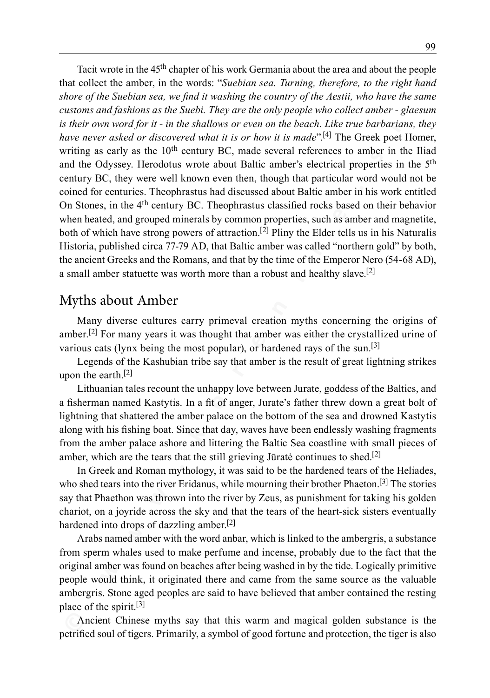**© w w w . k o r e n i n e . s i ©** Tacit wrote in the 45<sup>th</sup> chapter of his work Germania about the area and about the people that collect the amber, in the words: "*Suebian sea. Turning, therefore, to the right hand shore of the Suebian sea, we find it washing the country of the Aestii, who have the same customs and fashions as the Suebi. They are the only people who collect amber - glaesum is their own word for it - in the shallows or even on the beach. Like true barbarians, they have never asked or discovered what it is or how it is made*<sup>"[4]</sup> The Greek poet Homer, writing as early as the  $10<sup>th</sup>$  century BC, made several references to amber in the Iliad and the Odyssey. Herodotus wrote about Baltic amber's electrical properties in the 5th century BC, they were well known even then, though that particular word would not be coined for centuries. Theophrastus had discussed about Baltic amber in his work entitled On Stones, in the 4th century BC. Theophrastus classified rocks based on their behavior when heated, and grouped minerals by common properties, such as amber and magnetite, both of which have strong powers of attraction.<sup>[2]</sup> Pliny the Elder tells us in his Naturalis Historia, published circa 77‑79 AD, that Baltic amber was called "northern gold" by both, the ancient Greeks and the Romans, and that by the time of the Emperor Nero (54‑68 AD), a small amber statuette was worth more than a robust and healthy slave.<sup>[2]</sup>

## Myths about Amber

Many diverse cultures carry primeval creation myths concerning the origins of amber.<sup>[2]</sup> For many years it was thought that amber was either the crystallized urine of various cats (lynx being the most popular), or hardened rays of the sun.[3]

Legends of the Kashubian tribe say that amber is the result of great lightning strikes upon the earth.[2]

Lithuanian tales recount the unhappy love between Jurate, goddess of the Baltics, and a fisherman named Kastytis. In a fit of anger, Jurate's father threw down a great bolt of lightning that shattered the amber palace on the bottom of the sea and drowned Kastytis along with his fishing boat. Since that day, waves have been endlessly washing fragments from the amber palace ashore and littering the Baltic Sea coastline with small pieces of amber, which are the tears that the still grieving Jūratė continues to shed.<sup>[2]</sup>

In Greek and Roman mythology, it was said to be the hardened tears of the Heliades, who shed tears into the river Eridanus, while mourning their brother Phaeton.<sup>[3]</sup> The stories say that Phaethon was thrown into the river by Zeus, as punishment for taking his golden chariot, on a joyride across the sky and that the tears of the heart-sick sisters eventually hardened into drops of dazzling amber.<sup>[2]</sup>

Arabs named amber with the word anbar, which is linked to the ambergris, a substance from sperm whales used to make perfume and incense, probably due to the fact that the original amber was found on beaches after being washed in by the tide. Logically primitive people would think, it originated there and came from the same source as the valuable ambergris. Stone aged peoples are said to have believed that amber contained the resting place of the spirit.[3]

Ancient Chinese myths say that this warm and magical golden substance is the petrified soul of tigers. Primarily, a symbol of good fortune and protection, the tiger is also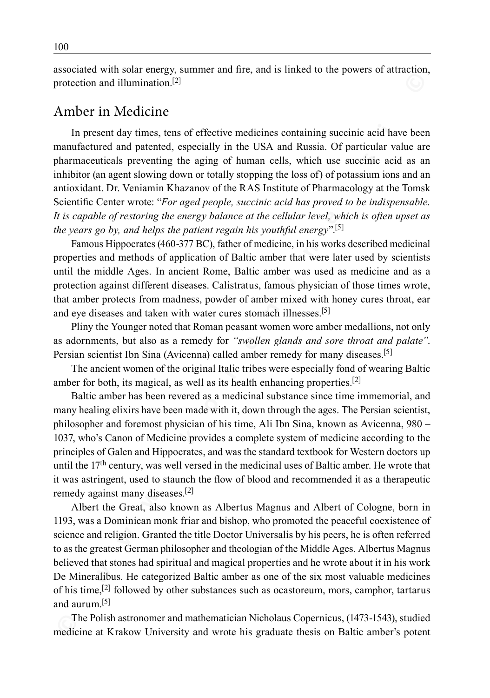associated with solar energy, summer and fire, and is linked to the powers of attraction, protection and illumination.[2]

#### Amber in Medicine

**Example 1 and particial many the proposition and interaction and particial method of particial method (specially) in he USA and Ressin Of particial value and particial experimentation and particial experimentation of the** In present day times, tens of effective medicines containing succinic acid have been manufactured and patented, especially in the USA and Russia. Of particular value are pharmaceuticals preventing the aging of human cells, which use succinic acid as an inhibitor (an agent slowing down or totally stopping the loss of) of potassium ions and an antioxidant. Dr. Veniamin Khazanov of the RAS Institute of Pharmacology at the Tomsk Scientific Center wrote: "*For aged people, succinic acid has proved to be indispensable. It is capable of restoring the energy balance at the cellular level, which is often upset as the years go by, and helps the patient regain his youthful energy*".[5]

Famous Hippocrates (460-377 BC), father of medicine, in his works described medicinal properties and methods of application of Baltic amber that were later used by scientists until the middle Ages. In ancient Rome, Baltic amber was used as medicine and as a protection against different diseases. Calistratus, famous physician of those times wrote, that amber protects from madness, powder of amber mixed with honey cures throat, ear and eye diseases and taken with water cures stomach illnesses.<sup>[5]</sup>

Pliny the Younger noted that Roman peasant women wore amber medallions, not only as adornments, but also as a remedy for *"swollen glands and sore throat and palate"*. Persian scientist Ibn Sina (Avicenna) called amber remedy for many diseases.<sup>[5]</sup>

The ancient women of the original Italic tribes were especially fond of wearing Baltic amber for both, its magical, as well as its health enhancing properties.<sup>[2]</sup>

Baltic amber has been revered as a medicinal substance since time immemorial, and many healing elixirs have been made with it, down through the ages. The Persian scientist, philosopher and foremost physician of his time, Ali Ibn Sina, known as Avicenna, 980 – 1037, who's Canon of Medicine provides a complete system of medicine according to the principles of Galen and Hippocrates, and was the standard textbook for Western doctors up until the 17<sup>th</sup> century, was well versed in the medicinal uses of Baltic amber. He wrote that it was astringent, used to staunch the flow of blood and recommended it as a therapeutic remedy against many diseases.[2]

Albert the Great, also known as Albertus Magnus and Albert of Cologne, born in 1193, was a Dominican monk friar and bishop, who promoted the peaceful coexistence of science and religion. Granted the title Doctor Universalis by his peers, he is often referred to as the greatest German philosopher and theologian of the Middle Ages. Albertus Magnus believed that stones had spiritual and magical properties and he wrote about it in his work De Mineralibus. He categorized Baltic amber as one of the six most valuable medicines of his time,  $[2]$  followed by other substances such as ocastoreum, mors, camphor, tartarus and aurum $[5]$ 

The Polish astronomer and mathematician Nicholaus Copernicus, (1473-1543), studied medicine at Krakow University and wrote his graduate thesis on Baltic amber's potent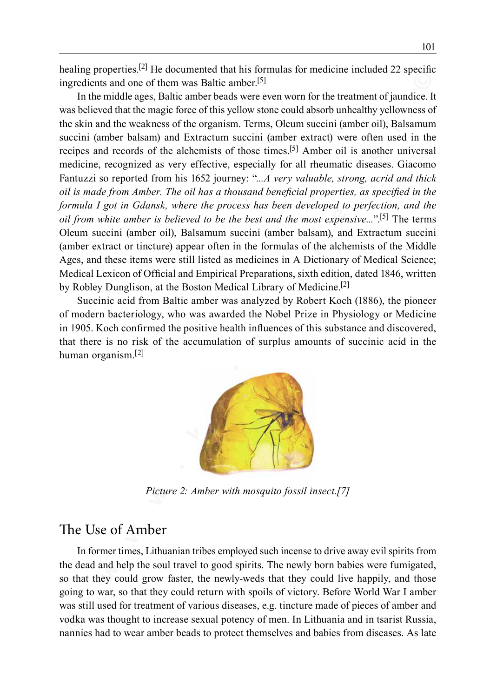healing properties.<sup>[2]</sup> He documented that his formulas for medicine included 22 specific ingredients and one of them was Baltic amber.[5]

**Example properties and the single method and in So when the model and the single method in the model ages, Battle cannel for the treatment of particular the single bases of the original properties were even worn for the t** In the middle ages, Baltic amber beads were even worn for the treatment of jaundice. It was believed that the magic force of this yellow stone could absorb unhealthy yellowness of the skin and the weakness of the organism. Terms, Oleum succini (amber oil), Balsamum succini (amber balsam) and Extractum succini (amber extract) were often used in the recipes and records of the alchemists of those times.[5] Amber oil is another universal medicine, recognized as very effective, especially for all rheumatic diseases. Giacomo Fantuzzi so reported from his 1652 journey: "*...A very valuable, strong, acrid and thick oil is made from Amber. The oil has a thousand beneficial properties, as specified in the formula I got in Gdansk, where the process has been developed to perfection, and the oil from white amber is believed to be the best and the most expensive...*".[5] The terms Oleum succini (amber oil), Balsamum succini (amber balsam), and Extractum succini (amber extract or tincture) appear often in the formulas of the alchemists of the Middle Ages, and these items were still listed as medicines in A Dictionary of Medical Science; Medical Lexicon of Official and Empirical Preparations, sixth edition, dated 1846, written by Robley Dunglison, at the Boston Medical Library of Medicine.[2]

Succinic acid from Baltic amber was analyzed by Robert Koch (1886), the pioneer of modern bacteriology, who was awarded the Nobel Prize in Physiology or Medicine in 1905. Koch confirmed the positive health influences of this substance and discovered, that there is no risk of the accumulation of surplus amounts of succinic acid in the human organism.[2]



*Picture 2: Amber with mosquito fossil insect.[7]*

# The Use of Amber

In former times, Lithuanian tribes employed such incense to drive away evil spirits from the dead and help the soul travel to good spirits. The newly born babies were fumigated, so that they could grow faster, the newly-weds that they could live happily, and those going to war, so that they could return with spoils of victory. Before World War I amber was still used for treatment of various diseases, e.g. tincture made of pieces of amber and vodka was thought to increase sexual potency of men. In Lithuania and in tsarist Russia, nannies had to wear amber beads to protect themselves and babies from diseases. As late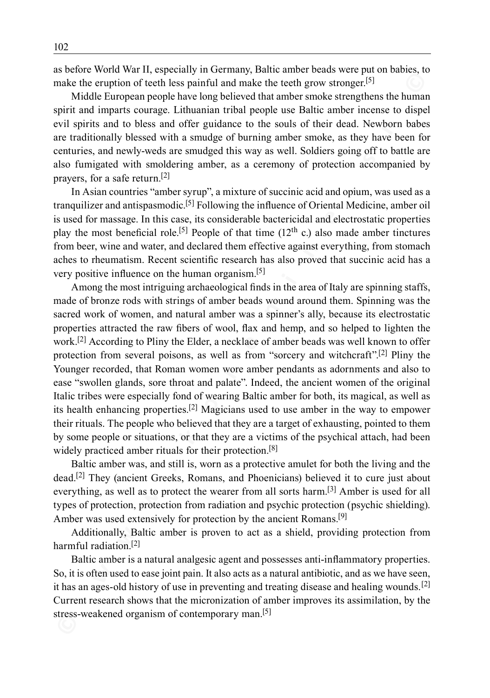as before World War II, especially in Germany, Baltic amber beads were put on babies, to make the eruption of teeth less painful and make the teeth grow stronger.<sup>[5]</sup>

Middle European people have long believed that amber smoke strengthens the human spirit and imparts courage. Lithuanian tribal people use Baltic amber incense to dispel evil spirits and to bless and offer guidance to the souls of their dead. Newborn babes are traditionally blessed with a smudge of burning amber smoke, as they have been for centuries, and newly-weds are smudged this way as well. Soldiers going off to battle are also fumigated with smoldering amber, as a ceremony of protection accompanied by prayers, for a safe return.[2]

In Asian countries "amber syrup", a mixture of succinic acid and opium, was used as a tranquilizer and antispasmodic.[5] Following the influence of Oriental Medicine, amber oil is used for massage. In this case, its considerable bactericidal and electrostatic properties play the most beneficial role.<sup>[5]</sup> People of that time  $(12<sup>th</sup> c.)$  also made amber tinctures from beer, wine and water, and declared them effective against everything, from stomach aches to rheumatism. Recent scientific research has also proved that succinic acid has a very positive influence on the human organism.[5]

**EXECTS** Mater the energy of the spain full and make the techt grow stronger.<sup>[5]</sup><br>Make the cruption of techt less painful and make the techt grow stronger.<sup>[5]</sup><br>Make the oreposite properties the ball of the properties th Among the most intriguing archaeological finds in the area of Italy are spinning staffs, made of bronze rods with strings of amber beads wound around them. Spinning was the sacred work of women, and natural amber was a spinner's ally, because its electrostatic properties attracted the raw fibers of wool, flax and hemp, and so helped to lighten the work.[2] According to Pliny the Elder, a necklace of amber beads was well known to offer protection from several poisons, as well as from "sorcery and witchcraft".<sup>[2]</sup> Pliny the Younger recorded, that Roman women wore amber pendants as adornments and also to ease "swollen glands, sore throat and palate". Indeed, the ancient women of the original Italic tribes were especially fond of wearing Baltic amber for both, its magical, as well as its health enhancing properties.[2] Magicians used to use amber in the way to empower their rituals. The people who believed that they are a target of exhausting, pointed to them by some people or situations, or that they are a victims of the psychical attach, had been widely practiced amber rituals for their protection.<sup>[8]</sup>

Baltic amber was, and still is, worn as a protective amulet for both the living and the dead.[2] They (ancient Greeks, Romans, and Phoenicians) believed it to cure just about everything, as well as to protect the wearer from all sorts harm.<sup>[3]</sup> Amber is used for all types of protection, protection from radiation and psychic protection (psychic shielding). Amber was used extensively for protection by the ancient Romans.<sup>[9]</sup>

Additionally, Baltic amber is proven to act as a shield, providing protection from harmful radiation.[2]

Baltic amber is a natural analgesic agent and possesses anti-inflammatory properties. So, it is often used to ease joint pain. It also acts as a natural antibiotic, and as we have seen, it has an ages-old history of use in preventing and treating disease and healing wounds.<sup>[2]</sup> Current research shows that the micronization of amber improves its assimilation, by the stress-weakened organism of contemporary man.<sup>[5]</sup>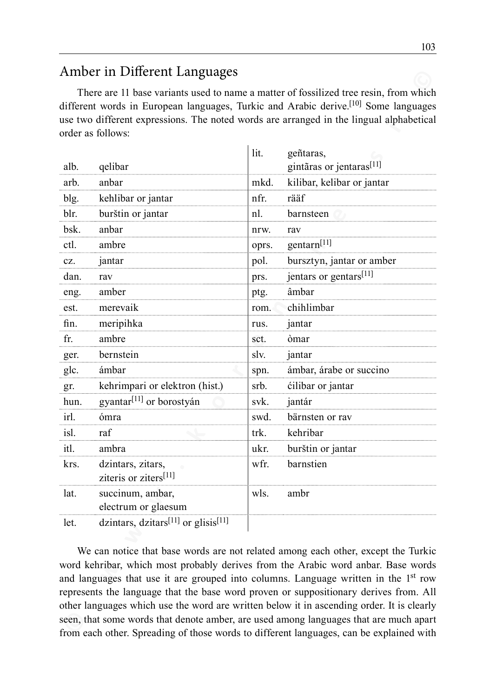# Amber in Different Languages

| alb. | qelibar                                                     | lit.  | geñtaras,<br>gintãras or jentaras <sup>[11]</sup>                                                                                                                                                                                                                                                                                                                                                                                                                                                                                                                                                                                                 |
|------|-------------------------------------------------------------|-------|---------------------------------------------------------------------------------------------------------------------------------------------------------------------------------------------------------------------------------------------------------------------------------------------------------------------------------------------------------------------------------------------------------------------------------------------------------------------------------------------------------------------------------------------------------------------------------------------------------------------------------------------------|
| arb. | anbar                                                       | mkd.  | kilibar, kelibar or jantar                                                                                                                                                                                                                                                                                                                                                                                                                                                                                                                                                                                                                        |
| blg. | kehlibar or jantar                                          | nfr.  | rääf                                                                                                                                                                                                                                                                                                                                                                                                                                                                                                                                                                                                                                              |
| blr. | burštin or jantar                                           | nl.   | barnsteen                                                                                                                                                                                                                                                                                                                                                                                                                                                                                                                                                                                                                                         |
| bsk. | anbar                                                       | nrw.  | rav                                                                                                                                                                                                                                                                                                                                                                                                                                                                                                                                                                                                                                               |
| ctl. | ambre                                                       | oprs. | gentarn <sup>[11]</sup>                                                                                                                                                                                                                                                                                                                                                                                                                                                                                                                                                                                                                           |
| CZ.  | jantar                                                      | pol.  | bursztyn, jantar or amber                                                                                                                                                                                                                                                                                                                                                                                                                                                                                                                                                                                                                         |
| dan. | rav                                                         | prs.  | jentars or gentars[11]                                                                                                                                                                                                                                                                                                                                                                                                                                                                                                                                                                                                                            |
| eng. | amber                                                       | ptg.  | âmbar                                                                                                                                                                                                                                                                                                                                                                                                                                                                                                                                                                                                                                             |
| est. | merevaik                                                    | rom.  | chihlimbar                                                                                                                                                                                                                                                                                                                                                                                                                                                                                                                                                                                                                                        |
| fin. | meripihka                                                   | rus.  | jantar                                                                                                                                                                                                                                                                                                                                                                                                                                                                                                                                                                                                                                            |
| fr.  | ambre                                                       | sct.  | òmar                                                                                                                                                                                                                                                                                                                                                                                                                                                                                                                                                                                                                                              |
| ger. | bernstein                                                   | slv.  | jantar                                                                                                                                                                                                                                                                                                                                                                                                                                                                                                                                                                                                                                            |
| glc. | ámbar                                                       | spn.  | ámbar, árabe or succino                                                                                                                                                                                                                                                                                                                                                                                                                                                                                                                                                                                                                           |
| gr.  | kehrimpari or elektron (hist.)                              | srb.  | cilibar or jantar                                                                                                                                                                                                                                                                                                                                                                                                                                                                                                                                                                                                                                 |
| hun. | gyantar <sup>[11]</sup> or borostyán                        | svk.  | jantár                                                                                                                                                                                                                                                                                                                                                                                                                                                                                                                                                                                                                                            |
| irl. | ómra                                                        | swd.  | bärnsten or rav                                                                                                                                                                                                                                                                                                                                                                                                                                                                                                                                                                                                                                   |
| isl. | raf                                                         | trk.  | kehribar                                                                                                                                                                                                                                                                                                                                                                                                                                                                                                                                                                                                                                          |
| itl. | ambra                                                       | ukr.  | burštin or jantar                                                                                                                                                                                                                                                                                                                                                                                                                                                                                                                                                                                                                                 |
| krs. | dzintars, zitars,<br>ziteris or ziters <sup>[11]</sup>      | wfr.  | barnstien                                                                                                                                                                                                                                                                                                                                                                                                                                                                                                                                                                                                                                         |
| lat. | succinum, ambar,<br>electrum or glaesum                     | wls.  | ambr                                                                                                                                                                                                                                                                                                                                                                                                                                                                                                                                                                                                                                              |
| let. | dzintars, dzitars <sup>[11]</sup> or glisis <sup>[11]</sup> |       |                                                                                                                                                                                                                                                                                                                                                                                                                                                                                                                                                                                                                                                   |
|      |                                                             |       | We can notice that base words are not related among each other, except the Turkic<br>word kehribar, which most probably derives from the Arabic word anbar. Base words<br>and languages that use it are grouped into columns. Language written in the 1 <sup>st</sup> row<br>represents the language that the base word proven or suppositionary derives from. All<br>other languages which use the word are written below it in ascending order. It is clearly<br>seen, that some words that denote amber, are used among languages that are much apart<br>from each other Spreading of those words to different languages, can be evoluted with |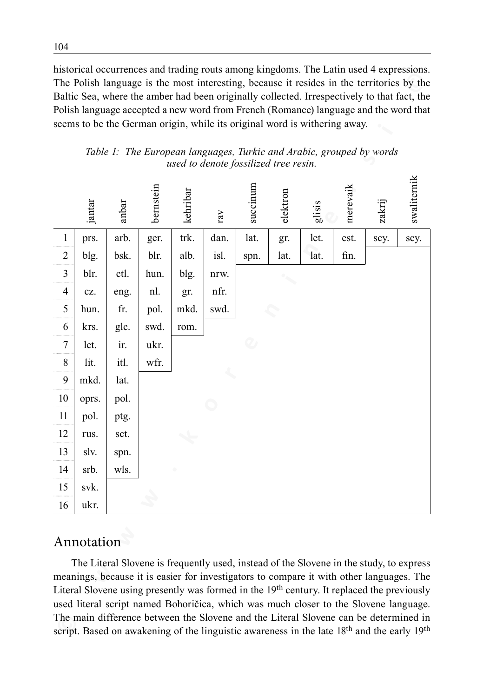historical occurrences and trading routs among kingdoms. The Latin used 4 expressions. The Polish language is the most interesting, because it resides in the territories by the Baltic Sea, where the amber had been originally collected. Irrespectively to that fact, the Polish language accepted a new word from French (Romance) language and the word that seems to be the German origin, while its original word is withering away.

|                |            | seems to be the German origin, while its original word is withering away. |           |          |                                       | $\ldots$ |          |       |          | The Polish language is the most interesting, because it resides in the territories by the<br>Baltic Sea, where the amber had been originally collected. Irrespectively to that fact, the<br>Polish language accepted a new word from French (Romance) language and the word that                                                                                                                                                                                                                                                                                                                    |             |
|----------------|------------|---------------------------------------------------------------------------|-----------|----------|---------------------------------------|----------|----------|-------|----------|-----------------------------------------------------------------------------------------------------------------------------------------------------------------------------------------------------------------------------------------------------------------------------------------------------------------------------------------------------------------------------------------------------------------------------------------------------------------------------------------------------------------------------------------------------------------------------------------------------|-------------|
|                |            |                                                                           |           |          | used to denote fossilized tree resin. |          |          |       |          | Table 1: The European languages, Turkic and Arabic, grouped by words                                                                                                                                                                                                                                                                                                                                                                                                                                                                                                                                |             |
|                | jantar     | anbar                                                                     | bernstein | kehribaı | rav                                   | succinum | elektror | lisis | merevaik | zakrij                                                                                                                                                                                                                                                                                                                                                                                                                                                                                                                                                                                              | swaliternik |
| $\mathbf{1}$   | prs.       | arb.                                                                      | ger.      | trk.     | dan.                                  | lat.     | gr.      | let.  | est.     | scy.                                                                                                                                                                                                                                                                                                                                                                                                                                                                                                                                                                                                | scy.        |
| $\overline{c}$ | blg.       | bsk.                                                                      | blr.      | alb.     | isl.                                  | spn.     | lat.     | lat.  | fin.     |                                                                                                                                                                                                                                                                                                                                                                                                                                                                                                                                                                                                     |             |
| 3              | blr.       | ctl.                                                                      | hun.      | blg.     | nrw.                                  |          |          |       |          |                                                                                                                                                                                                                                                                                                                                                                                                                                                                                                                                                                                                     |             |
| 4              | CZ.        | eng.                                                                      | nl.       | gr.      | nfr.                                  |          |          |       |          |                                                                                                                                                                                                                                                                                                                                                                                                                                                                                                                                                                                                     |             |
| 5              | hun.       | fr.                                                                       | pol.      | mkd.     | swd.                                  |          |          |       |          |                                                                                                                                                                                                                                                                                                                                                                                                                                                                                                                                                                                                     |             |
| 6              | krs.       | glc.                                                                      | swd.      | rom.     |                                       |          |          |       |          |                                                                                                                                                                                                                                                                                                                                                                                                                                                                                                                                                                                                     |             |
| 7              | let.       | ir.                                                                       | ukr.      |          |                                       |          |          |       |          |                                                                                                                                                                                                                                                                                                                                                                                                                                                                                                                                                                                                     |             |
| 8              | lit.       | itl.                                                                      | wfr.      |          |                                       |          |          |       |          |                                                                                                                                                                                                                                                                                                                                                                                                                                                                                                                                                                                                     |             |
| 9              | mkd.       | lat.                                                                      |           |          |                                       |          |          |       |          |                                                                                                                                                                                                                                                                                                                                                                                                                                                                                                                                                                                                     |             |
| 10             | oprs.      | pol.                                                                      |           |          |                                       |          |          |       |          |                                                                                                                                                                                                                                                                                                                                                                                                                                                                                                                                                                                                     |             |
| 11             | pol.       | ptg.                                                                      |           |          |                                       |          |          |       |          |                                                                                                                                                                                                                                                                                                                                                                                                                                                                                                                                                                                                     |             |
| 12             | rus.       | sct.                                                                      |           |          |                                       |          |          |       |          |                                                                                                                                                                                                                                                                                                                                                                                                                                                                                                                                                                                                     |             |
| 13             | slv.       | spn.                                                                      |           |          |                                       |          |          |       |          |                                                                                                                                                                                                                                                                                                                                                                                                                                                                                                                                                                                                     |             |
| 14             | srb.       | wls.                                                                      |           |          |                                       |          |          |       |          |                                                                                                                                                                                                                                                                                                                                                                                                                                                                                                                                                                                                     |             |
| 15             | svk.       |                                                                           |           |          |                                       |          |          |       |          |                                                                                                                                                                                                                                                                                                                                                                                                                                                                                                                                                                                                     |             |
| 16             | ukr.       |                                                                           |           |          |                                       |          |          |       |          |                                                                                                                                                                                                                                                                                                                                                                                                                                                                                                                                                                                                     |             |
|                | Annotation |                                                                           |           |          |                                       |          |          |       |          |                                                                                                                                                                                                                                                                                                                                                                                                                                                                                                                                                                                                     |             |
|                |            |                                                                           |           |          |                                       |          |          |       |          | The Literal Slovene is frequently used, instead of the Slovene in the study, to express<br>meanings, because it is easier for investigators to compare it with other languages. The<br>Literal Slovene using presently was formed in the 19 <sup>th</sup> century. It replaced the previously<br>used literal script named Bohoričica, which was much closer to the Slovene language.<br>The main difference between the Slovene and the Literal Slovene can be determined in<br>script. Based on awakening of the linguistic awareness in the late 18 <sup>th</sup> and the early 19 <sup>th</sup> |             |

*Table 1: The European languages, Turkic and Arabic, grouped by words used to denote fossilized tree resin.*

# Annotation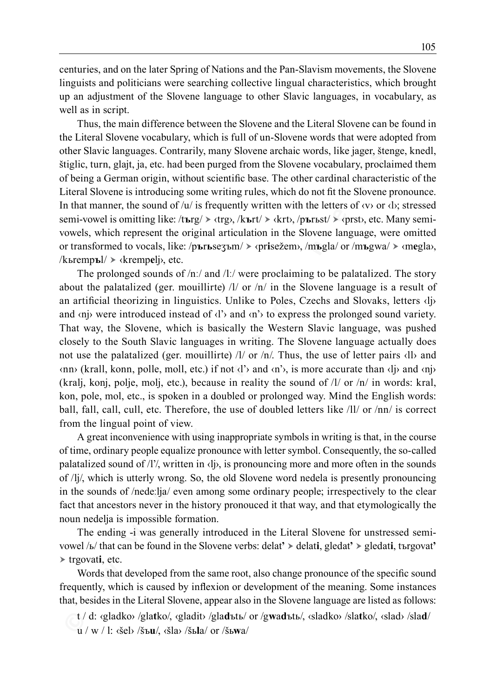centuries, and on the later Spring of Nations and the Pan-Slavism movements, the Slovene linguists and politicians were searching collective lingual characteristics, which brought up an adjustment of the Slovene language to other Slavic languages, in vocabulary, as well as in script.

Thus, the main difference between the Slovene and the Literal Slovene can be found in the Literal Slovene vocabulary, which is full of un‑Slovene words that were adopted from other Slavic languages. Contrarily, many Slovene archaic words, like jager, štenge, knedl, štiglic, turn, glajt, ja, etc. had been purged from the Slovene vocabulary, proclaimed them of being a German origin, without scientific base. The other cardinal characteristic of the Literal Slovene is introducing some writing rules, which do not fit the Slovene pronounce. In that manner, the sound of  $/u$  is frequently written with the letters of  $\langle v \rangle$  or  $\langle v \rangle$ ; stressed semi-vowel is omitting like: /t**ъ**rg/ ‹trg›, /k**ъ**rt/ ‹krt›, /p**ъ**rьst/ ‹prst›, etc. Many semivowels, which represent the original articulation in the Slovene language, were omitted or transformed to vocals, like: /p**ъ**r**ь**seʒъm/ ‹pr**i**sežem›, /m**ъ**gla/ or /m**ъ**gwa/ ‹m**e**gla›, /kьremp**ъ**l/ ‹kremp**e**lj›, etc.

**© w w w . k o r e n i n e . s i ©** The prolonged sounds of  $/n$ :/ and  $/l$ :/ were proclaiming to be palatalized. The story about the palatalized (ger. mouillirte) /l/ or  $/n/$  in the Slovene language is a result of an artificial theorizing in linguistics. Unlike to Poles, Czechs and Slovaks, letters ‹lj› and  $\langle n \rangle$  were introduced instead of  $\langle l \rangle$  and  $\langle n \rangle$  to express the prolonged sound variety. That way, the Slovene, which is basically the Western Slavic language, was pushed closely to the South Slavic languages in writing. The Slovene language actually does not use the palatalized (ger. mouillirte)  $/1/$  or  $/n/$ . Thus, the use of letter pairs  $\langle 1 \rangle$  and ‹nn› (krall, konn, polle, moll, etc.) if not ‹l'› and ‹n'›, is more accurate than ‹lj› and ‹nj› (kralj, konj, polje, molj, etc.), because in reality the sound of  $/1/$  or  $/n/$  in words: kral, kon, pole, mol, etc., is spoken in a doubled or prolonged way. Mind the English words: ball, fall, call, cull, etc. Therefore, the use of doubled letters like /ll/ or /nn/ is correct from the lingual point of view.

A great inconvenience with using inappropriate symbols in writing is that, in the course of time, ordinary people equalize pronounce with letter symbol. Consequently, the so-called palatalized sound of /l'/, written in ‹lj›, is pronouncing more and more often in the sounds of /lj/, which is utterly wrong. So, the old Slovene word nedela is presently pronouncing in the sounds of /nedeːlja/ even among some ordinary people; irrespectively to the clear fact that ancestors never in the history pronouced it that way, and that etymologically the noun nedelja is impossible formation.

The ending –i was generally introduced in the Literal Slovene for unstressed semivowel /ь/ that can be found in the Slovene verbs: delat**'** delat**i**, gledat**'** gledat**i**, tъrgovat**' ►** trgovat**i**, etc.

Words that developed from the same root, also change pronounce of the specific sound frequently, which is caused by inflexion or development of the meaning. Some instances that, besides in the Literal Slovene, appear also in the Slovene language are listed as follows:

t / d: ‹gladko› /gla**t**ko/, ‹gladit› /gla**d**ъtь/ or /g**w**a**d**ъtь/, ‹sladko› /sla**t**ko/, ‹slad› /sla**d**/

u / w / l: ‹šel› /šъ**u**/, ‹šla› /šь**l**a/ or /šь**w**a/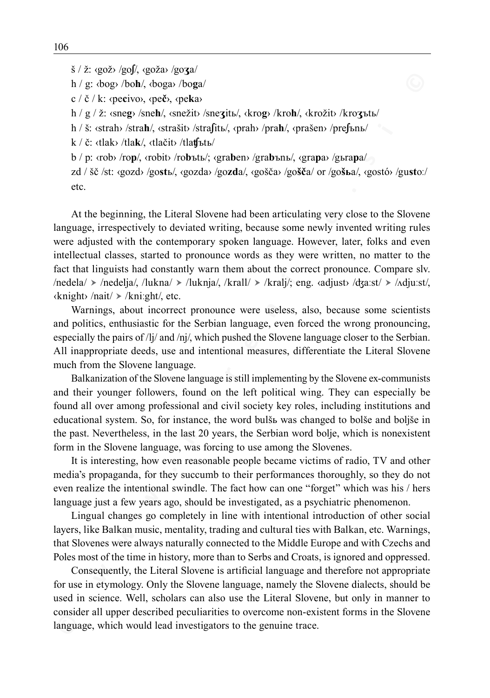š / ž: ‹gož› /go**ʃ**/, ‹goža› /go**ʒ**a/

h / g: ‹bog› /bo**h**/, ‹boga› /bo**g**a/

c / č / k: ‹pe**c**ivo›, ‹pe**č**›, ‹pe**k**a›

h / g / ž: ‹sne**g**› /sne**h**/, ‹snežit› /sne**ʒ**itь/, ‹kro**g**› /kro**h**/, ‹krožit› /kro**ʒ**ъtь/

h / š: ‹strah› /stra**h**/, ‹strašit› /stra**ʃ**itь/, ‹prah› /pra**h**/, ‹prašen› /pre**ʃ**ъnь/

k / č: ‹tlak› /tla**k**/, ‹tlačit› /tla**ʧ**ъtь/

b / p: ‹rob› /ro**p**/, ‹robit› /ro**b**ъtь/; ‹gra**b**en› /gra**b**ъnь/, ‹gra**p**a› /gьra**p**a/

zd / šč /st: ‹gozd› /go**st**ь/, ‹gozda› /go**zd**a/, ‹gošča› /go**šč**a/ or /go**šь**a/, ‹gostó› /gu**st**oː/ etc.

**© w w w . k o r e n i n e . s i ©** At the beginning, the Literal Slovene had been articulating very close to the Slovene language, irrespectively to deviated writing, because some newly invented writing rules were adjusted with the contemporary spoken language. However, later, folks and even intellectual classes, started to pronounce words as they were written, no matter to the fact that linguists had constantly warn them about the correct pronounce. Compare slv.  $/$ nedela $/$  >  $/$ nedelja $/$ ,  $/$ lukna $/$  >  $/$ luknja $/$ ,  $/$ kral $/$  >  $/$ kralj $/$ ; eng.  $\langle$ adjust $\rangle$   $/$   $\langle$ ddju $\langle$ st $/$ ,  $\rangle$  $\langle$ knight> /nait/ > /kniːght/, etc.

Warnings, about incorrect pronounce were useless, also, because some scientists and politics, enthusiastic for the Serbian language, even forced the wrong pronouncing, especially the pairs of /lj/ and /nj/, which pushed the Slovene language closer to the Serbian. All inappropriate deeds, use and intentional measures, differentiate the Literal Slovene much from the Slovene language.

Balkanization of the Slovene language is still implementing by the Slovene ex-communists and their younger followers, found on the left political wing. They can especially be found all over among professional and civil society key roles, including institutions and educational system. So, for instance, the word bulšь was changed to bolše and boljše in the past. Nevertheless, in the last 20 years, the Serbian word bolje, which is nonexistent form in the Slovene language, was forcing to use among the Slovenes.

It is interesting, how even reasonable people became victims of radio, TV and other media's propaganda, for they succumb to their performances thoroughly, so they do not even realize the intentional swindle. The fact how can one "forget" which was his / hers language just a few years ago, should be investigated, as a psychiatric phenomenon.

Lingual changes go completely in line with intentional introduction of other social layers, like Balkan music, mentality, trading and cultural ties with Balkan, etc. Warnings, that Slovenes were always naturally connected to the Middle Europe and with Czechs and Poles most of the time in history, more than to Serbs and Croats, is ignored and oppressed.

Consequently, the Literal Slovene is artificial language and therefore not appropriate for use in etymology. Only the Slovene language, namely the Slovene dialects, should be used in science. Well, scholars can also use the Literal Slovene, but only in manner to consider all upper described peculiarities to overcome non‑existent forms in the Slovene language, which would lead investigators to the genuine trace.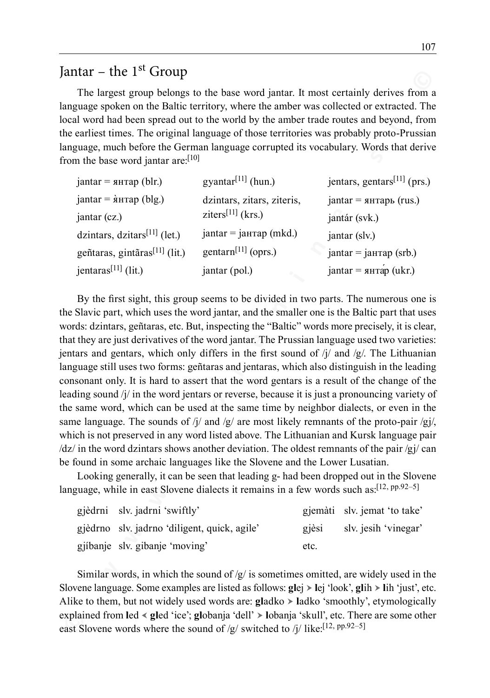# Jantar – the  $1<sup>st</sup>$  Group

The largest group belongs to the base word jantar. It most certainly derives from a language spoken on the Baltic territory, where the amber was collected or extracted. The local word had been spread out to the world by the amber trade routes and beyond, from the earliest times. The original language of those territories was probably proto-Prussian language, much before the German language corrupted its vocabulary. Words that derive from the base word jantar are:<sup>[10]</sup>

| $j$ antar = янтар (blr.)                   | gyantar $\left[11\right]$ (hun.) | jentars, gentars <sup>[11]</sup> (prs.) |
|--------------------------------------------|----------------------------------|-----------------------------------------|
| $j$ antar = $\hat{\mathbf{a}}$ нтар (blg.) | dzintars, zitars, ziteris,       | $j$ antar = янтарь (rus.)               |
| jantar (cz.)                               | ziters <sup>[11]</sup> (krs.)    | jantár (svk.)                           |
| dzintars, dzi $\arcsin^{[11]}$ (let.)      | $j$ antar = $j$ антар (mkd.)     | jantar (slv.)                           |
| geñtaras, gintãras <sup>[11]</sup> (lit.)  | gentarn <sup>[11]</sup> (oprs.)  | $jantar = jahtar = (srb.)$              |
| jentaras <sup>[11]</sup> (lit.)            | jantar (pol.)                    | $j$ antar = янтар (ukr.)                |

**EXECT THE 2<sup>x</sup> CHO 100 (<b>C Extramely** be the sus word juntar. It most certainly derives from any anguage so then the bureaut growth by the ambet was collected or extracted. The largest growth before Germann language By the first sight, this group seems to be divided in two parts. The numerous one is the Slavic part, which uses the word jantar, and the smaller one is the Baltic part that uses words: dzintars, geñtaras, etc. But, inspecting the "Baltic" words more precisely, it is clear, that they are just derivatives of the word jantar. The Prussian language used two varieties: jentars and gentars, which only differs in the first sound of  $j/\ell$  and  $/g/\ell$ . The Lithuanian language still uses two forms: geñtaras and jentaras, which also distinguish in the leading consonant only. It is hard to assert that the word gentars is a result of the change of the leading sound /j/ in the word jentars or reverse, because it is just a pronouncing variety of the same word, which can be used at the same time by neighbor dialects, or even in the same language. The sounds of /j/ and /g/ are most likely remnants of the proto-pair /gj/, which is not preserved in any word listed above. The Lithuanian and Kursk language pair  $\frac{dz}{in}$  in the word dzintars shows another deviation. The oldest remnants of the pair  $\frac{z}{i}$  can be found in some archaic languages like the Slovene and the Lower Lusatian.

Looking generally, it can be seen that leading g‑ had been dropped out in the Slovene language, while in east Slovene dialects it remains in a few words such as:<sup>[12, pp.92-5]</sup>

| gjèdrni slv. jadrni 'swiftly'                |          | gjemàti slv. jemat 'to take' |
|----------------------------------------------|----------|------------------------------|
| gjèdrno slv. jadrno 'diligent, quick, agile' | $q$ ièsi | sly jesih 'vinegar'          |
| gjíbanje slv. gibanje 'moving'               | etc.     |                              |

Similar words, in which the sound of  $/g$  is sometimes omitted, are widely used in the Slovene language. Some examples are listed as follows: **gl**ej **l**ej 'look', **gl**ih **l**ih 'just', etc. Alike to them, but not widely used words are: **gladko**  $\triangleright$  ladko 'smoothly', etymologically explained from **l**ed **gl**ed 'ice'; **gl**obanja 'dell' **l**obanja 'skull', etc. There are some other east Slovene words where the sound of /g/ switched to /j/ like:<sup>[12, pp.92–5]</sup>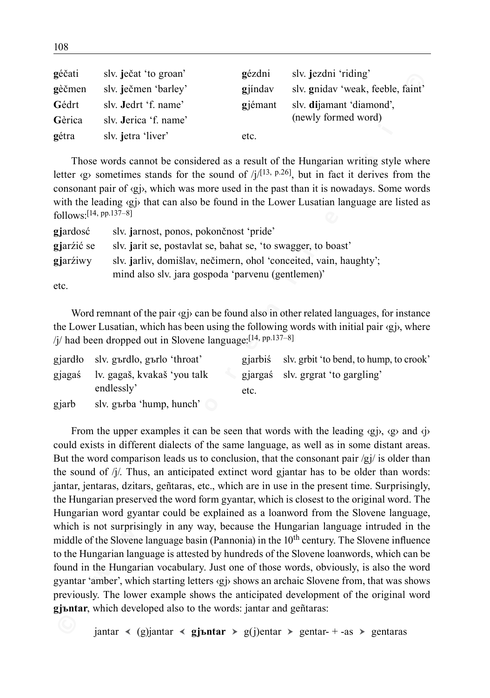| géčati | slv. ječat 'to groan'       | gézdni  | slv. jezdni 'riding'              |
|--------|-----------------------------|---------|-----------------------------------|
| gèčmen | sly. ječmen 'barley'        | giinday | sly. gniday 'weak, feeble, faint' |
| Gédrt  | sly. <b>Jedrt</b> 'f. name' | giémant | slv. dijamant 'diamond',          |
| Gèrica | sly. Jerica 'f. name'       |         | (newly formed word)               |
| gétra  | slv. jetra 'liver'          | etc.    |                                   |

Those words cannot be considered as a result of the Hungarian writing style where letter  $\langle g \rangle$  sometimes stands for the sound of /j/[13, p.26], but in fact it derives from the consonant pair of  $\langle g \rangle$ , which was more used in the past than it is nowadays. Some words with the leading  $\langle g \rangle$  that can also be found in the Lower Lusatian language are listed as  $f_0$ llows<sup> $\cdot$ [14, pp.137–8]</sup>

| giardosć   | slv. jarnost, ponos, pokončnost 'pride'                           |
|------------|-------------------------------------------------------------------|
| giarzić se | sly jarit se, postavlat se, bahat se, 'to swagger, to boast'      |
| giarziwy   | slv. jarliv, domišlav, nečimern, ohol 'conceited, vain, haughty'; |
|            | mind also slv. jara gospoda 'parvenu (gentlemen)'                 |
| etc.       |                                                                   |

Word remnant of the pair  $\langle q \rangle$  can be found also in other related languages, for instance the Lower Lusatian, which has been using the following words with initial pair  $\langle g \rangle$ , where  $/j$  had been dropped out in Slovene language:  $[14, pp.137-8]$ 

|       | giard <sub>ł</sub> slv. g <sub>br</sub> dlo, g <sub>br</sub> lo 'throat' |      | gjarbiś slv. grbit 'to bend, to hump, to crook' |
|-------|--------------------------------------------------------------------------|------|-------------------------------------------------|
|       | gjagaś lv. gagaš, kvakaš 'you talk                                       |      | gjargaś slv. grgrat 'to gargling'               |
|       | endlessly'                                                               | etc. |                                                 |
| gjarb | sly. g <sub>br</sub> ba 'hump, hunch'                                    |      |                                                 |

**© w w w . k o r e n i n e . s i ©** From the upper examples it can be seen that words with the leading  $\langle g \rangle$ ,  $\langle g \rangle$  and  $\langle \dot{\gamma} \rangle$ could exists in different dialects of the same language, as well as in some distant areas. But the word comparison leads us to conclusion, that the consonant pair  $/gj$  is older than the sound of  $/j/$ . Thus, an anticipated extinct word gjantar has to be older than words: jantar, jentaras, dzitars, geñtaras, etc., which are in use in the present time. Surprisingly, the Hungarian preserved the word form gyantar, which is closest to the original word. The Hungarian word gyantar could be explained as a loanword from the Slovene language, which is not surprisingly in any way, because the Hungarian language intruded in the middle of the Slovene language basin (Pannonia) in the  $10<sup>th</sup>$  century. The Slovene influence to the Hungarian language is attested by hundreds of the Slovene loanwords, which can be found in the Hungarian vocabulary. Just one of those words, obviously, is also the word gyantar 'amber', which starting letters ‹gj› shows an archaic Slovene from, that was shows previously. The lower example shows the anticipated development of the original word **gjъntar**, which developed also to the words: jantar and geñtaras:

 $j$ iantar < (g)jantar < g**jъntar** > g(j)entar > gentar–+ -as > gentaras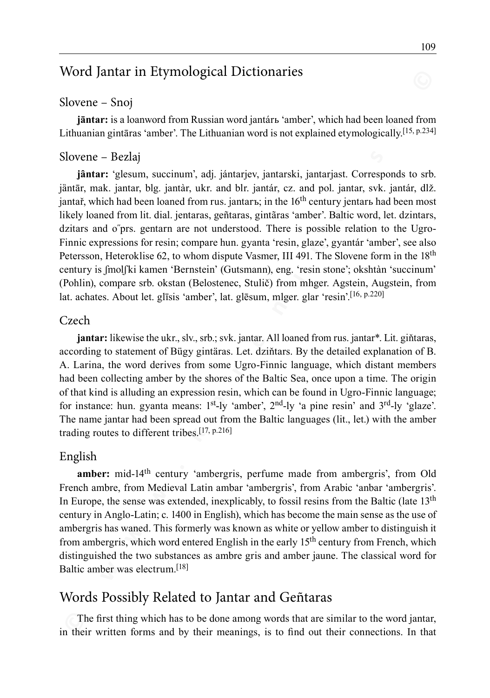# Word Jantar in Etymological Dictionaries

#### Slovene – Snoj

**jāntar:** is a loanword from Russian word jantárь 'amber', which had been loaned from Lithuanian gintāras 'amber'. The Lithuanian word is not explained etymologically.<sup>[15, p.234]</sup>

#### Slovene – Bezlaj

**© w w w . k o r e n i n e . s i © jântar:** 'glesum, succinum', adj. jántarjev, jantarski, jantarjast. Corresponds to srb. jäntār, mak. jantar, blg. jantàr, ukr. and blr. jantár, cz. and pol. jantar, svk. jantár, dlž. jantař, which had been loaned from rus. jantarъ; in the  $16<sup>th</sup>$  century jentarъ had been most likely loaned from lit. dial. jentaras, geñtaras, gintãras 'amber'. Baltic word, let. dzintars, dzitars and o˝prs. gentarn are not understood. There is possible relation to the Ugro-Finnic expressions for resin; compare hun. gyanta 'resin, glaze', gyantár 'amber', see also Petersson, Heteroklise 62, to whom dispute Vasmer, III 491. The Slovene form in the 18<sup>th</sup> century is ʃmolʃki kamen 'Bernstein' (Gutsmann), eng. 'resin stone'; okshtàn 'succinum' (Pohlin), compare srb. okstan (Belostenec, Stulič) from mhger. Agstein, Augstein, from lat. achates. About let. glīsis 'amber', lat. glēsum, mlger. glar 'resin'.[16, p.220]

#### Czech

**jantar:** likewise the ukr., slv., srb.; svk. jantar. All loaned from rus. jantar\*. Lit. giňtaras, according to statement of Bügy gintäras. Let. dziňtars. By the detailed explanation of B. A. Larina, the word derives from some Ugro-Finnic language, which distant members had been collecting amber by the shores of the Baltic Sea, once upon a time. The origin of that kind is alluding an expression resin, which can be found in Ugro-Finnic language; for instance: hun. gyanta means:  $1<sup>st</sup>$ -ly 'amber',  $2<sup>nd</sup>$ -ly 'a pine resin' and  $3<sup>rd</sup>$ -ly 'glaze'. The name jantar had been spread out from the Baltic languages (lit., let.) with the amber trading routes to different tribes.[17, p.216]

#### English

amber: mid-14<sup>th</sup> century 'ambergris, perfume made from ambergris', from Old French ambre, from Medieval Latin ambar 'ambergris', from Arabic 'anbar 'ambergris'. In Europe, the sense was extended, inexplicably, to fossil resins from the Baltic (late 13th century in Anglo-Latin; c. 1400 in English), which has become the main sense as the use of ambergris has waned. This formerly was known as white or yellow amber to distinguish it from ambergris, which word entered English in the early 15<sup>th</sup> century from French, which distinguished the two substances as ambre gris and amber jaune. The classical word for Baltic amber was electrum [18]

## Words Possibly Related to Jantar and Geñtaras

The first thing which has to be done among words that are similar to the word jantar, in their written forms and by their meanings, is to find out their connections. In that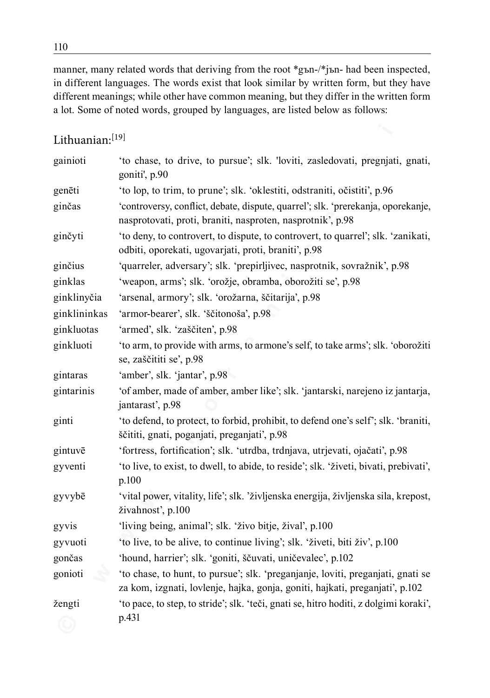manner, many related words that deriving from the root \*gъn-/\*jъn- had been inspected, in different languages. The words exist that look similar by written form, but they have different meanings; while other have common meaning, but they differ in the written form a lot. Some of noted words, grouped by languages, are listed below as follows:

### Lithuanian:[19]

|                 | in different languages. The words exist that look similar by written form, but they have<br>different meanings; while other have common meaning, but they differ in the written form<br>a lot. Some of noted words, grouped by languages, are listed below as follows: |
|-----------------|------------------------------------------------------------------------------------------------------------------------------------------------------------------------------------------------------------------------------------------------------------------------|
| Lithuanian:[19] |                                                                                                                                                                                                                                                                        |
| gainioti        | 'to chase, to drive, to pursue'; slk. 'loviti, zasledovati, pregnjati, gnati,<br>goniti', p.90                                                                                                                                                                         |
| genēti          | 'to lop, to trim, to prune'; slk. 'oklestiti, odstraniti, očistiti', p.96                                                                                                                                                                                              |
| ginčas          | 'controversy, conflict, debate, dispute, quarrel'; slk. 'prerekanja, oporekanje,<br>nasprotovati, proti, braniti, nasproten, nasprotnik', p.98                                                                                                                         |
| ginčyti         | 'to deny, to controvert, to dispute, to controvert, to quarrel'; slk. 'zanikati,<br>odbiti, oporekati, ugovarjati, proti, braniti', p.98                                                                                                                               |
| ginčius         | 'quarreler, adversary'; slk. 'prepirljivec, nasprotnik, sovražnik', p.98                                                                                                                                                                                               |
| ginklas         | 'weapon, arms'; slk. 'orožje, obramba, oborožiti se', p.98                                                                                                                                                                                                             |
| ginklinyčia     | 'arsenal, armory'; slk. 'orožarna, ščitarija', p.98                                                                                                                                                                                                                    |
| ginklininkas    | 'armor-bearer', slk. 'ščitonoša', p.98                                                                                                                                                                                                                                 |
| ginkluotas      | 'armed', slk. 'zaščiten', p.98                                                                                                                                                                                                                                         |
| ginkluoti       | 'to arm, to provide with arms, to armone's self, to take arms'; slk. 'oborožiti<br>se, zaščititi se', p.98                                                                                                                                                             |
| gintaras        | 'amber', slk. 'jantar', p.98                                                                                                                                                                                                                                           |
| gintarinis      | 'of amber, made of amber, amber like'; slk. 'jantarski, narejeno iz jantarja,<br>jantarast', p.98                                                                                                                                                                      |
| ginti           | 'to defend, to protect, to forbid, prohibit, to defend one's self'; slk. 'braniti,<br>ščititi, gnati, poganjati, preganjati', p.98                                                                                                                                     |
| gintuvē         | 'fortress, fortification'; slk. 'utrdba, trdnjava, utrjevati, ojačati', p.98                                                                                                                                                                                           |
| gyventi         | 'to live, to exist, to dwell, to abide, to reside'; slk. 'živeti, bivati, prebivati',<br>p.100                                                                                                                                                                         |
| gyvybē          | 'vital power, vitality, life'; slk. 'življenska energija, življenska sila, krepost,<br>živahnosť, p.100                                                                                                                                                                |
| gyvis           | 'living being, animal'; slk. 'živo bitje, žival', p.100                                                                                                                                                                                                                |
| gyvuoti         | 'to live, to be alive, to continue living'; slk. 'živeti, biti živ', p.100                                                                                                                                                                                             |
| gončas          | 'hound, harrier'; slk. 'goniti, ščuvati, uničevalec', p.102                                                                                                                                                                                                            |
| gonioti         | 'to chase, to hunt, to pursue'; slk. 'preganjanje, loviti, preganjati, gnati se<br>za kom, izgnati, lovlenje, hajka, gonja, goniti, hajkati, preganjati', p.102                                                                                                        |
| žengti          | 'to pace, to step, to stride'; slk. 'teči, gnati se, hitro hoditi, z dolgimi koraki',                                                                                                                                                                                  |
|                 | p.431                                                                                                                                                                                                                                                                  |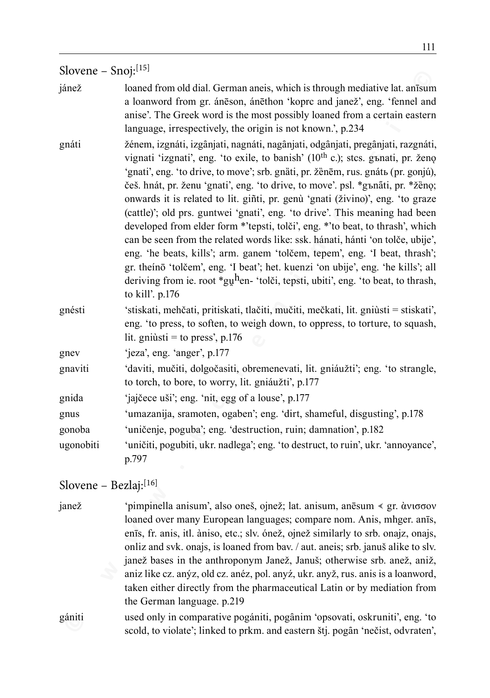#### Slovene – Snoj:<sup>[15]</sup>

- jánež loaned from old dial. German aneis, which is through mediative lat. anīsum a loanword from gr. ánēson, ánēthon 'koprc and janež', eng. 'fennel and anise'. The Greek word is the most possibly loaned from a certain eastern language, irrespectively, the origin is not known.', p.234
- **EXECT AND**<br> **EXECT AND**<br> **EXECT AND**<br> **EXECT AND**<br> **EXECT AND**<br> **EXECT AND**<br> **EXECT AND**<br> **EXECT AND**<br> **EXECT AND**<br> **EXECT**<br> **EXECT**<br> **EXECT**<br> **EXECT**<br> **EXECT**<br> **EXECT**<br> **EXECT**<br> **EXECT**<br> **EXECT**<br> **EXECT**<br> **EXECT**<br> **EXECT** gnáti žénem, izgnáti, izgânjati, nagnáti, nagânjati, odgânjati, pregânjati, razgnáti, vignati 'izgnati', eng. 'to exile, to banish' (10<sup>th</sup> c.); stcs. gъnati, pr. ženo 'gnati', eng. 'to drive, to move'; srb. gnàti, pr. žènēm, rus. gnátь (pr. gonjú), češ. hnát, pr. ženu 'gnati', eng. 'to drive, to move'. psl. \*gъnati, pr. \*žèno; onwards it is related to lit. giñti, pr. genù 'gnati (živino)', eng. 'to graze (cattle)'; old prs. guntwei 'gnati', eng. 'to drive'. This meaning had been developed from elder form \*'tepsti, tolči', eng. \*'to beat, to thrash', which can be seen from the related words like: ssk. hánati, hánti 'on tolče, ubije', eng. 'he beats, kills'; arm. ganem 'tolčem, tepem', eng. 'I beat, thrash'; gr. theínō 'tolčem', eng. 'I beat'; het. kuenzi 'on ubije', eng. 'he kills'; all deriving from ie. root \*guhen- 'tolči, tepsti, ubiti', eng. 'to beat, to thrash, to kill'. p.176
- gnésti 'stiskati, mehčati, pritiskati, tlačiti, mučiti, mečkati, lit. gniùsti = stiskati', eng. 'to press, to soften, to weigh down, to oppress, to torture, to squash, lit. gniùsti = to press',  $p.176$

gnev 'jeza', eng. 'anger', p.177

gnaviti 'daviti, mučiti, dolgočasiti, obremenevati, lit. gniáužti'; eng. 'to strangle, to torch, to bore, to worry, lit. gniáužti', p.177

gnida 'jajčece uši'; eng. 'nit, egg of a louse', p.177

gnus 'umazanija, sramoten, ogaben'; eng. 'dirt, shameful, disgusting', p.178

gonoba 'uničenje, poguba'; eng. 'destruction, ruin; damnation', p.182

ugonobiti 'uničiti, pogubiti, ukr. nadlega'; eng. 'to destruct, to ruin', ukr. 'annoyance', p.797

Slovene – Bezlaj:[16]

- janež 'pimpinella anisum', also oneš, ojnež; lat. anisum, anēsum gr. ὰνισσον loaned over many European languages; compare nom. Anis, mhger. anīs, enīs, fr. anis, itl. àniso, etc.; slv. ónež, ojnež similarly to srb. onajz, onajs, onliz and svk. onajs, is loaned from bav. / aut. aneis; srb. januš alike to slv. janež bases in the anthroponym Janež, Januš; otherwise srb. anež, aniž, aniz like cz. anýz, old cz. anéz, pol. anyź, ukr. anyž, rus. anis is a loanword, taken either directly from the pharmaceutical Latin or by mediation from the German language. p.219
- gániti used only in comparative pogániti, pogȃnim 'opsovati, oskruniti', eng. 'to scold, to violate'; linked to prkm. and eastern štj. pogân 'nečist, odvraten',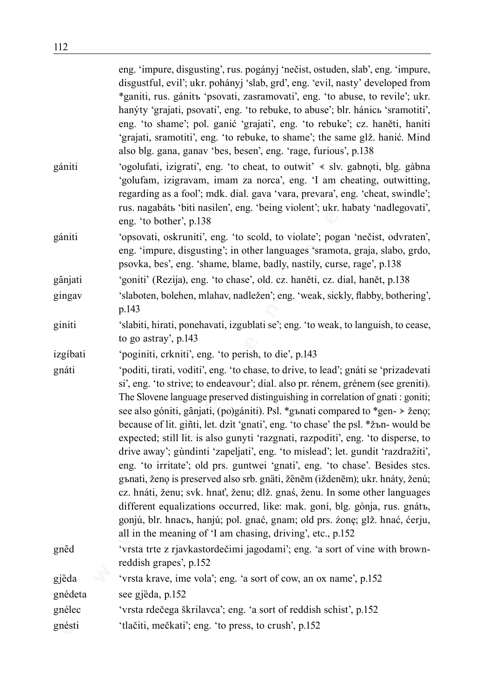|          | eng. 'impure, disgusting', rus. pogányj 'nečist, ostuden, slab', eng. 'impure,<br>disgustful, evil'; ukr. pohányj 'slab, grd', eng. 'evil, nasty' developed from<br>*ganiti, rus. gánitъ 'psovati, zasramovati', eng. 'to abuse, to revile'; ukr.<br>hanýty 'grajati, psovati', eng. 'to rebuke, to abuse'; blr. hánic s'sramotiti',<br>eng. 'to shame'; pol. ganić 'grajati', eng. 'to rebuke'; cz. haněti, haniti<br>'grajati, sramotiti', eng. 'to rebuke, to shame'; the same glž. hanić. Mind<br>also blg. gana, ganav 'bes, besen', eng. 'rage, furious', p.138                                                                                                                                                                                                                                                                                                                                                                                                                                                                                                              |
|----------|------------------------------------------------------------------------------------------------------------------------------------------------------------------------------------------------------------------------------------------------------------------------------------------------------------------------------------------------------------------------------------------------------------------------------------------------------------------------------------------------------------------------------------------------------------------------------------------------------------------------------------------------------------------------------------------------------------------------------------------------------------------------------------------------------------------------------------------------------------------------------------------------------------------------------------------------------------------------------------------------------------------------------------------------------------------------------------|
| gániti   | 'ogolufati, izigrati', eng. 'to cheat, to outwit' < slv. gabnoti, blg. gàbna<br>'golufam, izigravam, imam za norca', eng. 'I am cheating, outwitting,<br>regarding as a fool'; mdk. dial. gava 'vara, prevara', eng. 'cheat, swindle';<br>rus. nagabátb 'biti nasilen', eng. 'being violent'; ukr. habaty 'nadlegovati',<br>eng. 'to bother', p.138                                                                                                                                                                                                                                                                                                                                                                                                                                                                                                                                                                                                                                                                                                                                |
| gániti   | 'opsovati, oskruniti', eng. 'to scold, to violate'; pogan 'nečist, odvraten',<br>eng. 'impure, disgusting'; in other languages 'sramota, graja, slabo, grdo,<br>psovka, bes', eng. 'shame, blame, badly, nastily, curse, rage', p.138                                                                                                                                                                                                                                                                                                                                                                                                                                                                                                                                                                                                                                                                                                                                                                                                                                              |
| gânjati  | 'goniti' (Rezija), eng. 'to chase', old. cz. haněti, cz. dial, hanět, p.138                                                                                                                                                                                                                                                                                                                                                                                                                                                                                                                                                                                                                                                                                                                                                                                                                                                                                                                                                                                                        |
| gingav   | 'slaboten, bolehen, mlahav, nadležen'; eng. 'weak, sickly, flabby, bothering',<br>p.143                                                                                                                                                                                                                                                                                                                                                                                                                                                                                                                                                                                                                                                                                                                                                                                                                                                                                                                                                                                            |
| giniti   | 'slabiti, hirati, ponehavati, izgublati se'; eng. 'to weak, to languish, to cease,<br>to go astray', p.143                                                                                                                                                                                                                                                                                                                                                                                                                                                                                                                                                                                                                                                                                                                                                                                                                                                                                                                                                                         |
| izgíbati | 'poginiti, crkniti', eng. 'to perish, to die', p.143                                                                                                                                                                                                                                                                                                                                                                                                                                                                                                                                                                                                                                                                                                                                                                                                                                                                                                                                                                                                                               |
| gnáti    | 'poditi, tirati, voditi', eng. 'to chase, to drive, to lead'; gnáti se 'prizadevati<br>si', eng. 'to strive; to endeavour'; dial. also pr. rénem, grénem (see greniti).<br>The Slovene language preserved distinguishing in correlation of gnati : goniti;<br>see also góniti, gânjati, (po)gániti). Psl. *gъnati compared to *gen- > ženo;<br>because of lit. giñti, let. dzit 'gnati', eng. 'to chase' the psl. * zъn- would be<br>expected; still lit. is also gunyti 'razgnati, razpoditi', eng. 'to disperse, to<br>drive away'; gundinti 'zapeljati', eng. 'to mislead'; let. gundit 'razdražiti',<br>eng. 'to irritate'; old prs. guntwei 'gnati', eng. 'to chase'. Besides stcs.<br>gъnati, ženo is preserved also srb. gnäti, žënēm (iždenēm); ukr. hnáty, ženú;<br>cz. hnáti, ženu; svk. hnať, ženu; dlž. gnaś, ženu. In some other languages<br>different equalizations occurred, like: mak. goní, blg. gònja, rus. gnátъ,<br>gonjú, blr. hnaсъ, hanjú; pol. gnać, gnam; old prs. źonę; glž. hnać, ćerju,<br>all in the meaning of 'I am chasing, driving', etc., p.152 |
| gnêd     | 'vrsta trte z rjavkastordečimi jagodami'; eng. 'a sort of vine with brown-<br>reddish grapes', p.152                                                                                                                                                                                                                                                                                                                                                                                                                                                                                                                                                                                                                                                                                                                                                                                                                                                                                                                                                                               |
| gjëda    | 'vrsta krave, ime vola'; eng. 'a sort of cow, an ox name', p.152                                                                                                                                                                                                                                                                                                                                                                                                                                                                                                                                                                                                                                                                                                                                                                                                                                                                                                                                                                                                                   |
| gnédeta  | see gjëda, p.152                                                                                                                                                                                                                                                                                                                                                                                                                                                                                                                                                                                                                                                                                                                                                                                                                                                                                                                                                                                                                                                                   |
| gnélec   | 'vrsta rdečega škrilavca'; eng. 'a sort of reddish schist', p.152                                                                                                                                                                                                                                                                                                                                                                                                                                                                                                                                                                                                                                                                                                                                                                                                                                                                                                                                                                                                                  |
| gnésti   | 'tlačiti, mečkati'; eng. 'to press, to crush', p.152                                                                                                                                                                                                                                                                                                                                                                                                                                                                                                                                                                                                                                                                                                                                                                                                                                                                                                                                                                                                                               |
|          |                                                                                                                                                                                                                                                                                                                                                                                                                                                                                                                                                                                                                                                                                                                                                                                                                                                                                                                                                                                                                                                                                    |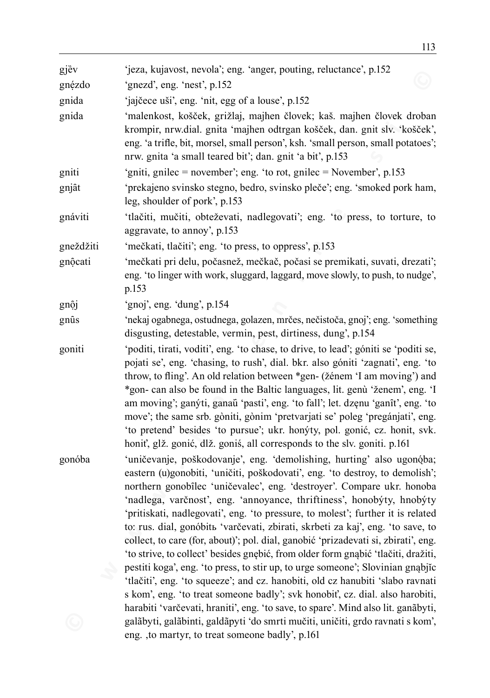| gjëv      | 'jeza, kujavost, nevola'; eng. 'anger, pouting, reluctance', p.152                                                                                                                                                                                                                                                                                                                                                                                                                                                                                                                                                                                                                                                                                                                                                                                                                                                                                                                                 |
|-----------|----------------------------------------------------------------------------------------------------------------------------------------------------------------------------------------------------------------------------------------------------------------------------------------------------------------------------------------------------------------------------------------------------------------------------------------------------------------------------------------------------------------------------------------------------------------------------------------------------------------------------------------------------------------------------------------------------------------------------------------------------------------------------------------------------------------------------------------------------------------------------------------------------------------------------------------------------------------------------------------------------|
| gnézdo    | 'gnezd', eng. 'nest', p.152                                                                                                                                                                                                                                                                                                                                                                                                                                                                                                                                                                                                                                                                                                                                                                                                                                                                                                                                                                        |
| gnida     | 'jajčece uši', eng. 'nit, egg of a louse', p.152                                                                                                                                                                                                                                                                                                                                                                                                                                                                                                                                                                                                                                                                                                                                                                                                                                                                                                                                                   |
| gnida     | 'malenkost, košček, grižlaj, majhen človek; kaš. majhen človek droban<br>krompir, nrw.dial. gnita 'majhen odtrgan košček, dan. gnit slv. 'košček',<br>eng. 'a trifle, bit, morsel, small person', ksh. 'small person, small potatoes';<br>nrw. gnita 'a small teared bit'; dan. gnit 'a bit', p.153                                                                                                                                                                                                                                                                                                                                                                                                                                                                                                                                                                                                                                                                                                |
| gniti     | 'gniti, gnilec = november'; eng. 'to rot, gnilec = November', p.153                                                                                                                                                                                                                                                                                                                                                                                                                                                                                                                                                                                                                                                                                                                                                                                                                                                                                                                                |
| gnjât     | 'prekajeno svinsko stegno, bedro, svinsko pleče'; eng. 'smoked pork ham,<br>leg, shoulder of pork', p.153                                                                                                                                                                                                                                                                                                                                                                                                                                                                                                                                                                                                                                                                                                                                                                                                                                                                                          |
| gnáviti   | 'tlačiti, mučiti, obteževati, nadlegovati'; eng. 'to press, to torture, to<br>aggravate, to annoy', p.153                                                                                                                                                                                                                                                                                                                                                                                                                                                                                                                                                                                                                                                                                                                                                                                                                                                                                          |
| gneždžiti | 'mečkati, tlačiti'; eng. 'to press, to oppress', p.153                                                                                                                                                                                                                                                                                                                                                                                                                                                                                                                                                                                                                                                                                                                                                                                                                                                                                                                                             |
| gnộcati   | 'mečkati pri delu, počasnež, mečkač, počasi se premikati, suvati, drezati';<br>eng. 'to linger with work, sluggard, laggard, move slowly, to push, to nudge',<br>p.153                                                                                                                                                                                                                                                                                                                                                                                                                                                                                                                                                                                                                                                                                                                                                                                                                             |
| gnộj      | 'gnoj', eng. 'dung', p.154                                                                                                                                                                                                                                                                                                                                                                                                                                                                                                                                                                                                                                                                                                                                                                                                                                                                                                                                                                         |
| gnûs      | 'nekaj ogabnega, ostudnega, golazen, mrčes, nečistoča, gnoj'; eng. 'something<br>disgusting, detestable, vermin, pest, dirtiness, dung', p.154                                                                                                                                                                                                                                                                                                                                                                                                                                                                                                                                                                                                                                                                                                                                                                                                                                                     |
| goniti    | 'poditi, tirati, voditi', eng. 'to chase, to drive, to lead'; góniti se 'poditi se,<br>pojati se', eng. 'chasing, to rush', dial. bkr. also góniti 'zagnati', eng. 'to<br>throw, to fling'. An old relation between *gen- (žénem 'I am moving') and<br>*gon- can also be found in the Baltic languages, lit. genù 'ženem', eng. 'I<br>am moving'; ganýti, ganaŭ 'pasti', eng. 'to fall'; let. dzęnu 'ganît', eng. 'to<br>move'; the same srb. gòniti, gònim 'pretvarjati se' poleg 'pregánjati', eng.<br>'to pretend' besides 'to pursue'; ukr. honýty, pol. gonić, cz. honit, svk.<br>honiť, glž. gonić, dlž. goniś, all corresponds to the slv. goniti. p.161                                                                                                                                                                                                                                                                                                                                    |
| gonóba    | 'uničevanje, poškodovanje', eng. 'demolishing, hurting' also ugonóba;<br>eastern (u)gonobiti, 'uničiti, poškodovati', eng. 'to destroy, to demolish';<br>northern gonobîlec 'uničevalec', eng. 'destroyer'. Compare ukr. honoba<br>'nadlega, varčnost', eng. 'annoyance, thriftiness', honobýty, hnobýty<br>'pritiskati, nadlegovati', eng. 'to pressure, to molest'; further it is related<br>to: rus. dial, gonóbit 'varčevati, zbirati, skrbeti za kaj', eng. 'to save, to<br>collect, to care (for, about)'; pol. dial, ganobić 'prizadevati si, zbirati', eng.<br>'to strive, to collect' besides gnębić, from older form gnąbić 'tlačiti, dražiti,<br>pestiti koga', eng. 'to press, to stir up, to urge someone'; Slovinian gnabjic<br>'tlačiti', eng. 'to squeeze'; and cz. hanobiti, old cz hanubiti 'slabo ravnati<br>s kom', eng. 'to treat someone badly'; svk honobit', cz. dial. also harobiti,<br>harabiti 'varčevati, hraniti', eng. 'to save, to spare'. Mind also lit. ganãbyti, |
|           | galãbyti, galãbinti, galdãpyti 'do smrti mučiti, uničiti, grdo ravnati s kom',<br>eng., to martyr, to treat someone badly', p.161                                                                                                                                                                                                                                                                                                                                                                                                                                                                                                                                                                                                                                                                                                                                                                                                                                                                  |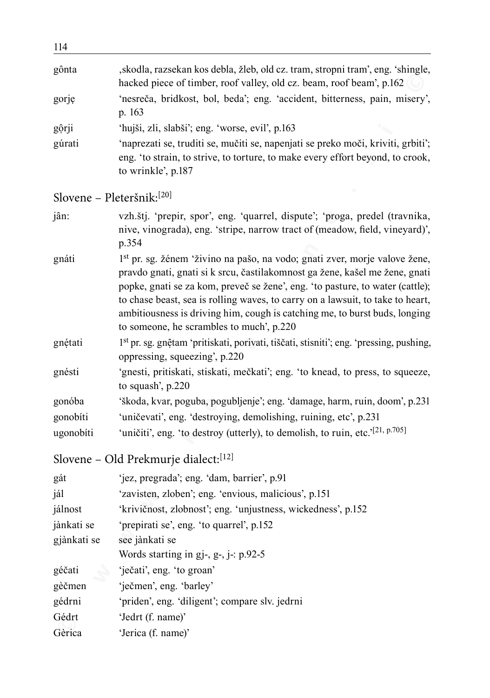| ד ביב       |                                                                                                                                                                                                                                                                                                                                                                                                                                                                    |
|-------------|--------------------------------------------------------------------------------------------------------------------------------------------------------------------------------------------------------------------------------------------------------------------------------------------------------------------------------------------------------------------------------------------------------------------------------------------------------------------|
| gônta       | , skodla, razsekan kos debla, žleb, old cz. tram, stropni tram', eng. 'shingle,<br>hacked piece of timber, roof valley, old cz. beam, roof beam', p.162                                                                                                                                                                                                                                                                                                            |
| gorje       | 'nesreča, bridkost, bol, beda'; eng. 'accident, bitterness, pain, misery',<br>p. 163                                                                                                                                                                                                                                                                                                                                                                               |
| gộrji       | 'hujši, zli, slabši'; eng. 'worse, evil', p.163                                                                                                                                                                                                                                                                                                                                                                                                                    |
| gúrati      | 'naprezati se, truditi se, mučiti se, napenjati se preko moči, kriviti, grbiti';<br>eng. 'to strain, to strive, to torture, to make every effort beyond, to crook,<br>to wrinkle', p.187                                                                                                                                                                                                                                                                           |
|             | Slovene - Pleteršnik: <sup>[20]</sup>                                                                                                                                                                                                                                                                                                                                                                                                                              |
| jân:        | vzh.štj. 'prepir, spor', eng. 'quarrel, dispute'; 'proga, predel (travnika,<br>nive, vinograda), eng. 'stripe, narrow tract of (meadow, field, vineyard)',<br>p.354                                                                                                                                                                                                                                                                                                |
| gnáti       | 1 <sup>st</sup> pr. sg. žénem 'živino na pašo, na vodo; gnati zver, morje valove žene,<br>pravdo gnati, gnati si k srcu, častilakomnost ga žene, kašel me žene, gnati<br>popke, gnati se za kom, preveč se žene', eng. 'to pasture, to water (cattle);<br>to chase beast, sea is rolling waves, to carry on a lawsuit, to take to heart,<br>ambitiousness is driving him, cough is catching me, to burst buds, longing<br>to someone, he scrambles to much', p.220 |
| gnétati     | 1 <sup>st</sup> pr. sg. gnętam 'pritiskati, porivati, tiščati, stisniti'; eng. 'pressing, pushing,<br>oppressing, squeezing', p.220                                                                                                                                                                                                                                                                                                                                |
| gnésti      | 'gnesti, pritiskati, stiskati, mečkati'; eng. 'to knead, to press, to squeeze,<br>to squash', p.220                                                                                                                                                                                                                                                                                                                                                                |
| gonóba      | 'škoda, kvar, poguba, pogubljenje'; eng. 'damage, harm, ruin, doom', p.231                                                                                                                                                                                                                                                                                                                                                                                         |
| gonobíti    | 'uničevati', eng. 'destroying, demolishing, ruining, etc', p.231                                                                                                                                                                                                                                                                                                                                                                                                   |
| ugonobíti   | 'uničiti', eng. 'to destroy (utterly), to demolish, to ruin, etc.' <sup>[21, p.705]</sup>                                                                                                                                                                                                                                                                                                                                                                          |
|             | Slovene – Old Prekmurje dialect: <sup>[12]</sup>                                                                                                                                                                                                                                                                                                                                                                                                                   |
| gát         | 'jez, pregrada'; eng. 'dam, barrier', p.91                                                                                                                                                                                                                                                                                                                                                                                                                         |
| jál         | 'zavisten, zloben'; eng. 'envious, malicious', p.151                                                                                                                                                                                                                                                                                                                                                                                                               |
| jálnost     | 'krivičnost, zlobnost'; eng. 'unjustness, wickedness', p.152                                                                                                                                                                                                                                                                                                                                                                                                       |
| jànkati se  | 'prepirati se', eng. 'to quarrel', p.152                                                                                                                                                                                                                                                                                                                                                                                                                           |
| gjànkati se | see jànkati se                                                                                                                                                                                                                                                                                                                                                                                                                                                     |
|             | Words starting in gj-, g-, j-: p.92-5                                                                                                                                                                                                                                                                                                                                                                                                                              |
| géčati      | 'ječati', eng. 'to groan'                                                                                                                                                                                                                                                                                                                                                                                                                                          |
| gèčmen      | 'ječmen', eng. 'barley'                                                                                                                                                                                                                                                                                                                                                                                                                                            |
| gédrni      | 'priden', eng. 'diligent'; compare slv. jedrni                                                                                                                                                                                                                                                                                                                                                                                                                     |
| Gédrt       | 'Jedrt (f. name)'                                                                                                                                                                                                                                                                                                                                                                                                                                                  |
| Gèrica      | 'Jerica (f. name)'                                                                                                                                                                                                                                                                                                                                                                                                                                                 |

| gát         | 'jez, pregrada'; eng. 'dam, barrier', p.91                   |
|-------------|--------------------------------------------------------------|
| jál         | 'zavisten, zloben'; eng. 'envious, malicious', p.151         |
| jálnost     | 'krivičnost, zlobnost'; eng. 'unjustness, wickedness', p.152 |
| jànkati se  | 'prepirati se', eng. 'to quarrel', p.152                     |
| gjànkati se | see jànkati se                                               |
|             | Words starting in gj-, g-, j-: p.92-5                        |
| géčati      | 'ječati', eng. 'to groan'                                    |
| gèčmen      | 'ječmen', eng. 'barley'                                      |
| gédrni      | 'priden', eng. 'diligent'; compare slv. jedrni               |
| Gédrt       | 'Jedrt (f. name)'                                            |
| Gèrica      | 'Jerica (f. name)'                                           |
|             |                                                              |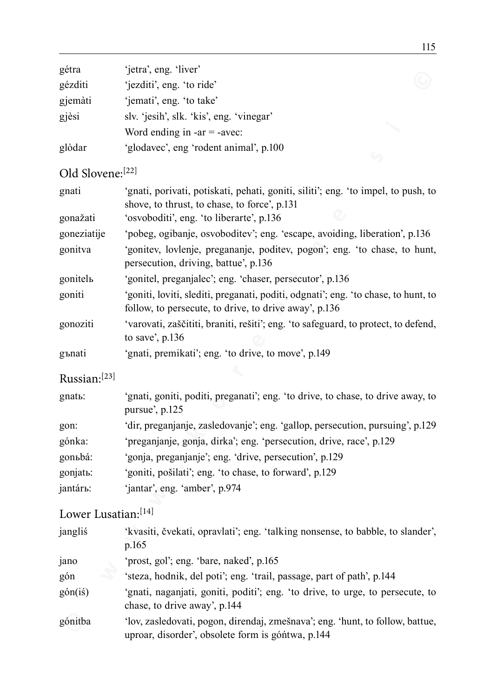| gétra   | 'jetra', eng. 'liver'                    |  |
|---------|------------------------------------------|--|
| gézditi | 'jezditi', eng. 'to ride'                |  |
| gjemàti | 'jemati', eng. 'to take'                 |  |
| gjèsi   | slv. 'jesih', slk. 'kis', eng. 'vinegar' |  |
|         | Word ending in $-ar = -avec$ :           |  |
| glòdar  | 'glodavec', eng 'rodent animal', p.100   |  |

# Old Slovene:[22]

| gcua                | $[CU a, CU g, IU cU]$                                                                                                                       |  |  |
|---------------------|---------------------------------------------------------------------------------------------------------------------------------------------|--|--|
| gézditi             | 'jezditi', eng. 'to ride'                                                                                                                   |  |  |
| gjemàti             | 'jemati', eng. 'to take'                                                                                                                    |  |  |
| gjèsi               | slv. 'jesih', slk. 'kis', eng. 'vinegar'                                                                                                    |  |  |
|                     | Word ending in $-ar = -avec$ :                                                                                                              |  |  |
| glòdar              | 'glodavec', eng 'rodent animal', p.100                                                                                                      |  |  |
| Old Slovene:[22]    |                                                                                                                                             |  |  |
| gnati               | 'gnati, porivati, potiskati, pehati, goniti, siliti'; eng. 'to impel, to push, to<br>shove, to thrust, to chase, to force', p.131           |  |  |
| gonažati            | 'osvoboditi', eng. 'to liberarte', p.136                                                                                                    |  |  |
| goneziatije         | 'pobeg, ogibanje, osvoboditev'; eng. 'escape, avoiding, liberation', p.136                                                                  |  |  |
| gonitva             | 'gonitev, lovlenje, pregananje, poditev, pogon'; eng. 'to chase, to hunt,<br>persecution, driving, battue', p.136                           |  |  |
| gonitelь            | 'gonitel, preganjalec'; eng. 'chaser, persecutor', p.136                                                                                    |  |  |
| goniti              | 'goniti, loviti, slediti, preganati, poditi, odgnati'; eng. 'to chase, to hunt, to<br>follow, to persecute, to drive, to drive away', p.136 |  |  |
| gonoziti            | 'varovati, zaščititi, braniti, rešiti'; eng. 'to safeguard, to protect, to defend,<br>to save', $p.136$                                     |  |  |
| gъnati              | 'gnati, premikati'; eng. 'to drive, to move', p.149                                                                                         |  |  |
| Russian:[23]        |                                                                                                                                             |  |  |
| gnatь:              | 'gnati, goniti, poditi, preganati'; eng. 'to drive, to chase, to drive away, to<br>pursue', p.125                                           |  |  |
| gon:                | 'dir, preganjanje, zasledovanje'; eng. 'gallop, persecution, pursuing', p.129                                                               |  |  |
| gónka:              | 'preganjanje, gonja, dirka'; eng. 'persecution, drive, race', p.129                                                                         |  |  |
| gonьbá:             | 'gonja, preganjanje'; eng. 'drive, persecution', p.129                                                                                      |  |  |
| gonjatь:            | 'goniti, pošilati'; eng. 'to chase, to forward', p.129                                                                                      |  |  |
| jantárь:            | 'jantar', eng. 'amber', p.974                                                                                                               |  |  |
| Lower Lusatian:[14] |                                                                                                                                             |  |  |
| jangliś             | 'kvasiti, čvekati, opravlati'; eng. 'talking nonsense, to babble, to slander',<br>p.165                                                     |  |  |
| jano                | 'prost, gol'; eng. 'bare, naked', p.165                                                                                                     |  |  |
| gón                 | 'steza, hodnik, del poti'; eng. 'trail, passage, part of path', p.144                                                                       |  |  |
| gón(iś)             | 'gnati, naganjati, goniti, poditi'; eng. 'to drive, to urge, to persecute, to<br>chase, to drive away', p.144                               |  |  |
| gónitba             | 'lov, zasledovati, pogon, direndaj, zmešnava'; eng. 'hunt, to follow, battue,                                                               |  |  |

# Lower Lusatian:[14]

| jangliś | 'kvasiti, čvekati, opravlati'; eng. 'talking nonsense, to babble, to slander',<br>p.165                                            |
|---------|------------------------------------------------------------------------------------------------------------------------------------|
| jano    | 'prost, gol'; eng. 'bare, naked', p.165                                                                                            |
| gón     | 'steza, hodnik, del poti'; eng. 'trail, passage, part of path', p.144                                                              |
| gón(iś) | 'gnati, naganjati, goniti, poditi'; eng. 'to drive, to urge, to persecute, to<br>chase, to drive away', p.144                      |
| gónitba | 'lov, zasledovati, pogon, direndaj, zmešnava'; eng. 'hunt, to follow, battue,<br>uproar, disorder', obsolete form is góntwa, p.144 |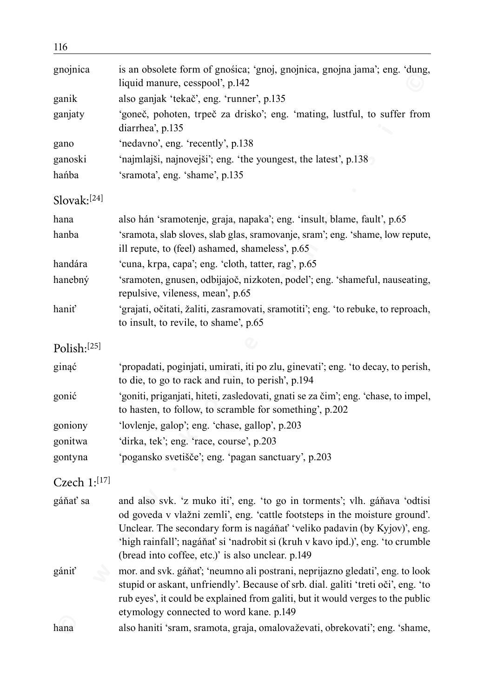| 116               |                                                                                                                                                                                                                                                                                                                                                                            |
|-------------------|----------------------------------------------------------------------------------------------------------------------------------------------------------------------------------------------------------------------------------------------------------------------------------------------------------------------------------------------------------------------------|
| gnojnica          | is an obsolete form of gnośica; 'gnoj, gnojnica, gnojna jama'; eng. 'dung,<br>liquid manure, cesspool', p.142                                                                                                                                                                                                                                                              |
| ganik             | also ganjak 'tekač', eng. 'runner', p.135                                                                                                                                                                                                                                                                                                                                  |
| ganjaty           | 'goneč, pohoten, trpeč za drisko'; eng. 'mating, lustful, to suffer from<br>diarrhea', p.135                                                                                                                                                                                                                                                                               |
| gano              | 'nedavno', eng. 'recently', p.138                                                                                                                                                                                                                                                                                                                                          |
| ganoski           | 'najmlajši, najnovejši'; eng. 'the youngest, the latest', p.138                                                                                                                                                                                                                                                                                                            |
| hańba             | 'sramota', eng. 'shame', p.135                                                                                                                                                                                                                                                                                                                                             |
| Slovak:[24]       |                                                                                                                                                                                                                                                                                                                                                                            |
| hana              | also hán 'sramotenje, graja, napaka'; eng. 'insult, blame, fault', p.65                                                                                                                                                                                                                                                                                                    |
| hanba             | 'sramota, slab sloves, slab glas, sramovanje, sram'; eng. 'shame, low repute,<br>ill repute, to (feel) ashamed, shameless', p.65                                                                                                                                                                                                                                           |
| handára           | 'cuna, krpa, capa'; eng. 'cloth, tatter, rag', p.65                                                                                                                                                                                                                                                                                                                        |
| hanebný           | 'sramoten, gnusen, odbijajoč, nizkoten, podel'; eng. 'shameful, nauseating,<br>repulsive, vileness, mean', p.65                                                                                                                                                                                                                                                            |
| hanit             | 'grajati, očitati, žaliti, zasramovati, sramotiti'; eng. 'to rebuke, to reproach,<br>to insult, to revile, to shame', p.65                                                                                                                                                                                                                                                 |
| Polish:[25]       |                                                                                                                                                                                                                                                                                                                                                                            |
| ginąć             | 'propadati, poginjati, umirati, iti po zlu, ginevati'; eng. 'to decay, to perish,<br>to die, to go to rack and ruin, to perish', p.194                                                                                                                                                                                                                                     |
| gonić             | 'goniti, priganjati, hiteti, zasledovati, gnati se za čim'; eng. 'chase, to impel,<br>to hasten, to follow, to scramble for something', p.202                                                                                                                                                                                                                              |
| goniony           | 'lovlenje, galop'; eng. 'chase, gallop', p.203                                                                                                                                                                                                                                                                                                                             |
| gonitwa           | 'dirka, tek'; eng. 'race, course', p.203                                                                                                                                                                                                                                                                                                                                   |
| gontyna           | 'pogansko svetišče'; eng. 'pagan sanctuary', p.203                                                                                                                                                                                                                                                                                                                         |
| Czech $1:^{[17]}$ |                                                                                                                                                                                                                                                                                                                                                                            |
| gáňať sa          | and also svk. 'z muko iti', eng. 'to go in torments'; vlh. gáňava 'odtisi<br>od goveda v vlažni zemli', eng. 'cattle footsteps in the moisture ground'.<br>Unclear. The secondary form is nagáňať 'veliko padavin (by Kyjov)', eng.<br>'high rainfall'; nagáňať si 'nadrobit si (kruh v kavo ipd.)', eng. 'to crumble<br>(bread into coffee, etc.)' is also unclear. p.149 |
| gániť             | mor. and svk. gáňať; 'neumno ali postrani, neprijazno gledati', eng. to look<br>stupid or askant, unfriendly'. Because of srb. dial. galiti 'treti oči', eng. 'to<br>rub eyes', it could be explained from galiti, but it would verges to the public<br>etymology connected to word kane. p.149                                                                            |
| hana              | also haniti 'sram, sramota, graja, omalovaževati, obrekovati'; eng. 'shame,                                                                                                                                                                                                                                                                                                |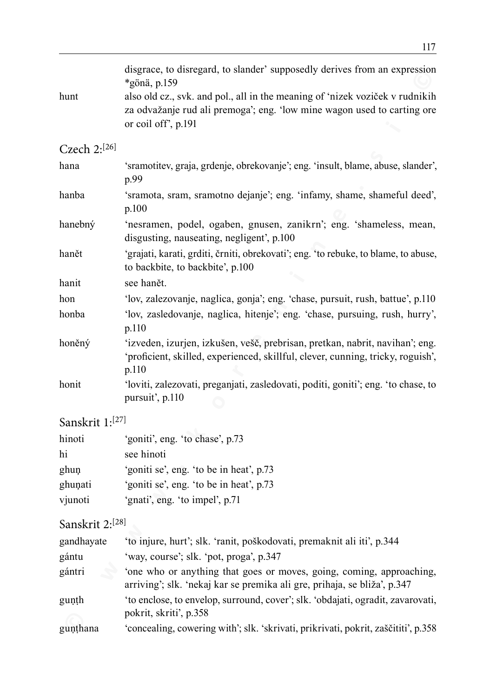| hunt              | disgrace, to disregard, to slander' supposedly derives from an expression<br>*gönä, p.159<br>also old cz., svk. and pol., all in the meaning of 'nizek voziček v rudnikih<br>za odvažanje rud ali premoga'; eng. 'low mine wagon used to carting ore<br>or coil off', p.191 |  |
|-------------------|-----------------------------------------------------------------------------------------------------------------------------------------------------------------------------------------------------------------------------------------------------------------------------|--|
| Czech $2:^{[26]}$ |                                                                                                                                                                                                                                                                             |  |
| hana              | 'sramotitev, graja, grdenje, obrekovanje'; eng. 'insult, blame, abuse, slander',<br>p.99                                                                                                                                                                                    |  |
| hanba             | 'sramota, sram, sramotno dejanje'; eng. 'infamy, shame, shameful deed',<br>p.100                                                                                                                                                                                            |  |
| hanebný           | 'nesramen, podel, ogaben, gnusen, zanikrn'; eng. 'shameless, mean,<br>disgusting, nauseating, negligent', p.100                                                                                                                                                             |  |
| hanět             | 'grajati, karati, grditi, črniti, obrekovati'; eng. 'to rebuke, to blame, to abuse,<br>to backbite, to backbite', p.100                                                                                                                                                     |  |
| hanit             | see hanět.                                                                                                                                                                                                                                                                  |  |
| hon               | 'lov, zalezovanje, naglica, gonja'; eng. 'chase, pursuit, rush, battue', p.110                                                                                                                                                                                              |  |
| honba             | 'lov, zasledovanje, naglica, hitenje'; eng. 'chase, pursuing, rush, hurry',<br>p.110                                                                                                                                                                                        |  |
| honěný            | 'izveden, izurjen, izkušen, vešč, prebrisan, pretkan, nabrit, navihan'; eng.<br>'proficient, skilled, experienced, skillful, clever, cunning, tricky, roguish',<br>p.110                                                                                                    |  |
| honit             | 'loviti, zalezovati, preganjati, zasledovati, poditi, goniti'; eng. 'to chase, to<br>pursuit', p.110                                                                                                                                                                        |  |
| Sanskrit 1:[27]   |                                                                                                                                                                                                                                                                             |  |
| hinoti            | 'goniti', eng. 'to chase', p.73                                                                                                                                                                                                                                             |  |
| hi                | see hinoti                                                                                                                                                                                                                                                                  |  |
| ghuņ              | 'goniti se', eng. 'to be in heat', p.73                                                                                                                                                                                                                                     |  |
| ghuņati           | 'goniti se', eng. 'to be in heat', p.73                                                                                                                                                                                                                                     |  |
| vjunoti           | 'gnati', eng. 'to impel', p.71                                                                                                                                                                                                                                              |  |
| Sanskrit 2:[28]   |                                                                                                                                                                                                                                                                             |  |
| gandhayate        | 'to injure, hurt'; slk. 'ranit, poškodovati, premaknit ali iti', p.344                                                                                                                                                                                                      |  |
| gántu             | 'way, course'; slk. 'pot, proga', p.347                                                                                                                                                                                                                                     |  |
| gántri            | 'one who or anything that goes or moves, going, coming, approaching,<br>arriving'; slk. 'nekaj kar se premika ali gre, prihaja, se bliža', p.347                                                                                                                            |  |
| gunth             | 'to enclose, to envelop, surround, cover'; slk. 'obdajati, ogradit, zavarovati,<br>pokrit, skriti', p.358                                                                                                                                                                   |  |
| gunthana          | 'concealing, cowering with'; slk. 'skrivati, prikrivati, pokrit, zaščititi', p.358                                                                                                                                                                                          |  |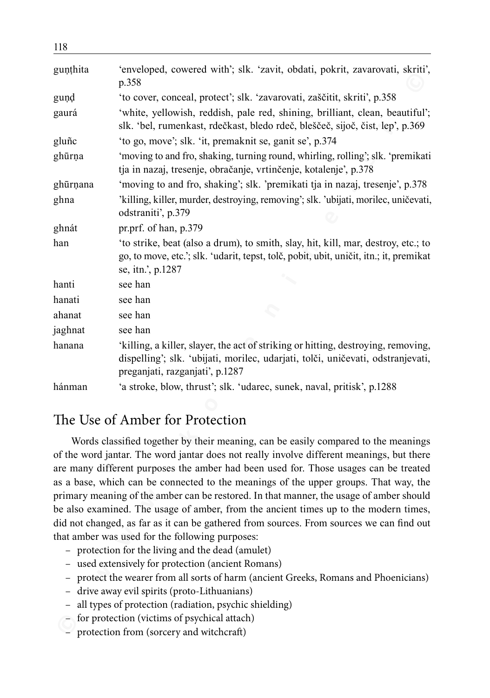| gunthita | 'enveloped, cowered with'; slk. 'zavit, obdati, pokrit, zavarovati, skriti',<br>p.358                                                                                                                                                                                                                                                                                                                                                                                                                                                                                                                                                                                                                                                                                                                                                                                                                                                                                                                     |  |  |
|----------|-----------------------------------------------------------------------------------------------------------------------------------------------------------------------------------------------------------------------------------------------------------------------------------------------------------------------------------------------------------------------------------------------------------------------------------------------------------------------------------------------------------------------------------------------------------------------------------------------------------------------------------------------------------------------------------------------------------------------------------------------------------------------------------------------------------------------------------------------------------------------------------------------------------------------------------------------------------------------------------------------------------|--|--|
| gund     | 'to cover, conceal, protect'; slk. 'zavarovati, zaščitit, skriti', p.358                                                                                                                                                                                                                                                                                                                                                                                                                                                                                                                                                                                                                                                                                                                                                                                                                                                                                                                                  |  |  |
| gaurá    | 'white, yellowish, reddish, pale red, shining, brilliant, clean, beautiful';<br>slk. 'bel, rumenkast, rdečkast, bledo rdeč, bleščeč, sijoč, čist, lep', p.369                                                                                                                                                                                                                                                                                                                                                                                                                                                                                                                                                                                                                                                                                                                                                                                                                                             |  |  |
| gluñc    | 'to go, move'; slk. 'it, premaknit se, ganit se', p.374                                                                                                                                                                                                                                                                                                                                                                                                                                                                                                                                                                                                                                                                                                                                                                                                                                                                                                                                                   |  |  |
| ghūrņa   | 'moving to and fro, shaking, turning round, whirling, rolling'; slk. 'premikati<br>tja in nazaj, tresenje, obračanje, vrtinčenje, kotalenje', p.378                                                                                                                                                                                                                                                                                                                                                                                                                                                                                                                                                                                                                                                                                                                                                                                                                                                       |  |  |
| ghūrņana | 'moving to and fro, shaking'; slk. 'premikati tja in nazaj, tresenje', p.378                                                                                                                                                                                                                                                                                                                                                                                                                                                                                                                                                                                                                                                                                                                                                                                                                                                                                                                              |  |  |
| ghna     | 'killing, killer, murder, destroying, removing'; slk. 'ubijati, morilec, uničevati,<br>odstraniti', p.379                                                                                                                                                                                                                                                                                                                                                                                                                                                                                                                                                                                                                                                                                                                                                                                                                                                                                                 |  |  |
| ghnát    | pr.prf. of han, p.379                                                                                                                                                                                                                                                                                                                                                                                                                                                                                                                                                                                                                                                                                                                                                                                                                                                                                                                                                                                     |  |  |
| han      | 'to strike, beat (also a drum), to smith, slay, hit, kill, mar, destroy, etc.; to<br>go, to move, etc.'; slk. 'udarit, tepst, tolč, pobit, ubit, uničit, itn.; it, premikat<br>se, itn.', p.1287                                                                                                                                                                                                                                                                                                                                                                                                                                                                                                                                                                                                                                                                                                                                                                                                          |  |  |
| hanti    | see han                                                                                                                                                                                                                                                                                                                                                                                                                                                                                                                                                                                                                                                                                                                                                                                                                                                                                                                                                                                                   |  |  |
| hanati   | see han                                                                                                                                                                                                                                                                                                                                                                                                                                                                                                                                                                                                                                                                                                                                                                                                                                                                                                                                                                                                   |  |  |
| ahanat   | see han                                                                                                                                                                                                                                                                                                                                                                                                                                                                                                                                                                                                                                                                                                                                                                                                                                                                                                                                                                                                   |  |  |
| jaghnat  | see han                                                                                                                                                                                                                                                                                                                                                                                                                                                                                                                                                                                                                                                                                                                                                                                                                                                                                                                                                                                                   |  |  |
| hanana   | 'killing, a killer, slayer, the act of striking or hitting, destroying, removing,<br>dispelling'; slk. 'ubijati, morilec, udarjati, tolči, uničevati, odstranjevati,<br>preganjati, razganjati', p.1287                                                                                                                                                                                                                                                                                                                                                                                                                                                                                                                                                                                                                                                                                                                                                                                                   |  |  |
| hánman   | 'a stroke, blow, thrust'; slk. 'udarec, sunek, naval, pritisk', p.1288                                                                                                                                                                                                                                                                                                                                                                                                                                                                                                                                                                                                                                                                                                                                                                                                                                                                                                                                    |  |  |
|          |                                                                                                                                                                                                                                                                                                                                                                                                                                                                                                                                                                                                                                                                                                                                                                                                                                                                                                                                                                                                           |  |  |
|          | The Use of Amber for Protection                                                                                                                                                                                                                                                                                                                                                                                                                                                                                                                                                                                                                                                                                                                                                                                                                                                                                                                                                                           |  |  |
|          | Words classified together by their meaning, can be easily compared to the meanings<br>of the word jantar. The word jantar does not really involve different meanings, but there<br>are many different purposes the amber had been used for. Those usages can be treated<br>as a base, which can be connected to the meanings of the upper groups. That way, the<br>primary meaning of the amber can be restored. In that manner, the usage of amber should<br>be also examined. The usage of amber, from the ancient times up to the modern times,<br>did not changed, as far as it can be gathered from sources. From sources we can find out<br>that amber was used for the following purposes:<br>- protection for the living and the dead (amulet)<br>used extensively for protection (ancient Romans)<br>protect the wearer from all sorts of harm (ancient Greeks, Romans and Phoenicians)<br>drive away evil spirits (proto-Lithuanians)<br>all types of protection (radiation, psychic shielding) |  |  |
|          | for protection (victims of psychical attach)                                                                                                                                                                                                                                                                                                                                                                                                                                                                                                                                                                                                                                                                                                                                                                                                                                                                                                                                                              |  |  |
|          | protection from (sorcery and witchcraft)                                                                                                                                                                                                                                                                                                                                                                                                                                                                                                                                                                                                                                                                                                                                                                                                                                                                                                                                                                  |  |  |

## The Use of Amber for Protection

- protection for the living and the dead (amulet)
- used extensively for protection (ancient Romans)
- protect the wearer from all sorts of harm (ancient Greeks, Romans and Phoenicians)
- drive away evil spirits (proto-Lithuanians)
- all types of protection (radiation, psychic shielding)
- for protection (victims of psychical attach)
- protection from (sorcery and witchcraft)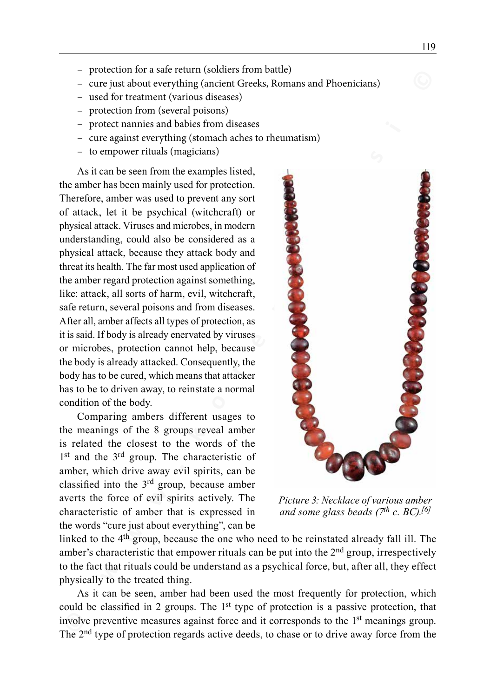- protection for a safe return (soldiers from battle)
- cure just about everything (ancient Greeks, Romans and Phoenicians)
- used for treatment (various diseases)
- protection from (several poisons)
- protect nannies and babies from diseases
- cure against everything (stomach aches to rheumatism)
- to empower rituals (magicians)

As it can be seen from the examples listed, the amber has been mainly used for protection. Therefore, amber was used to prevent any sort of attack, let it be psychical (witchcraft) or physical attack. Viruses and microbes, in modern understanding, could also be considered as a physical attack, because they attack body and threat its health. The far most used application of the amber regard protection against something, like: attack, all sorts of harm, evil, witchcraft, safe return, several poisons and from diseases. After all, amber affects all types of protection, as it is said. If body is already enervated by viruses or microbes, protection cannot help, because the body is already attacked. Consequently, the body has to be cured, which means that attacker has to be to driven away, to reinstate a normal condition of the body.

Comparing ambers different usages to the meanings of the 8 groups reveal amber is related the closest to the words of the 1<sup>st</sup> and the 3<sup>rd</sup> group. The characteristic of amber, which drive away evil spirits, can be classified into the 3rd group, because amber averts the force of evil spirits actively. The characteristic of amber that is expressed in the words "cure just about everything", can be



*Picture 3: Necklace of various amber and some glass beads (7th c. BC).[6]*

linked to the 4th group, because the one who need to be reinstated already fall ill. The amber's characteristic that empower rituals can be put into the 2<sup>nd</sup> group, irrespectively to the fact that rituals could be understand as a psychical force, but, after all, they effect physically to the treated thing.

As it can be seen, amber had been used the most frequently for protection, which could be classified in 2 groups. The 1<sup>st</sup> type of protection is a passive protection, that involve preventive measures against force and it corresponds to the 1<sup>st</sup> meanings group. The 2nd type of protection regards active deeds, to chase or to drive away force from the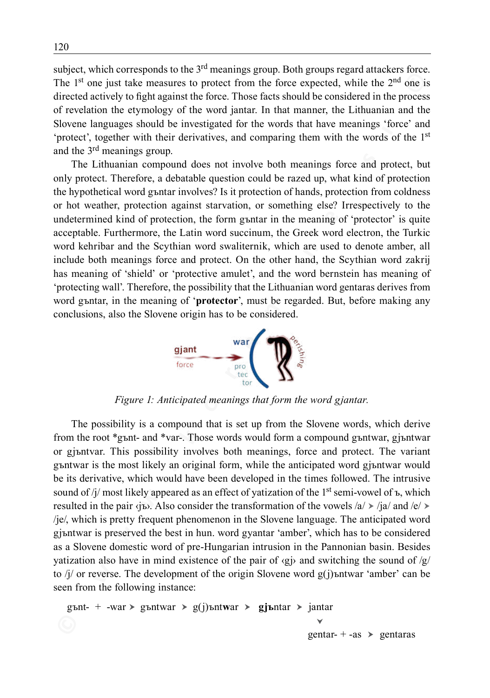subject, which corresponds to the 3<sup>rd</sup> meanings group. Both groups regard attackers force. The 1<sup>st</sup> one just take measures to protect from the force expected, while the 2<sup>nd</sup> one is directed actively to fight against the force. Those facts should be considered in the process of revelation the etymology of the word jantar. In that manner, the Lithuanian and the Slovene languages should be investigated for the words that have meanings 'force' and 'protect', together with their derivatives, and comparing them with the words of the 1st and the 3rd meanings group.

The Lithuanian compound does not involve both meanings force and protect, but only protect. Therefore, a debatable question could be razed up, what kind of protection the hypothetical word gъntar involves? Is it protection of hands, protection from coldness or hot weather, protection against starvation, or something else? Irrespectively to the undetermined kind of protection, the form gъntar in the meaning of 'protector' is quite acceptable. Furthermore, the Latin word succinum, the Greek word electron, the Turkic word kehribar and the Scythian word swaliternik, which are used to denote amber, all include both meanings force and protect. On the other hand, the Scythian word zakrij has meaning of 'shield' or 'protective amulet', and the word bernstein has meaning of 'protecting wall'. Therefore, the possibility that the Lithuanian word gentaras derives from word gъntar, in the meaning of '**protector**', must be regarded. But, before making any conclusions, also the Slovene origin has to be considered.



*Figure 1: Anticipated meanings that form the word gjantar.*

**Example 11** (**Example 11** (**Example 11** (**Example 12** (**Example 12** (**Example 12** (**Example 12** (**Example 12** (**F C**) (**F F** (**C**) (**F F Example 12** (**F Example 12** (**F Example 12** (**F Example 12** (**F Exa** The possibility is a compound that is set up from the Slovene words, which derive from the root \*gъnt‑ and \*var‑. Those words would form a compound gъntwar, gjъntwar or gjъntvar. This possibility involves both meanings, force and protect. The variant gъntwar is the most likely an original form, while the anticipated word gjъntwar would be its derivative, which would have been developed in the times followed. The intrusive sound of /j/ most likely appeared as an effect of yatization of the 1<sup>st</sup> semi-vowel of  $\bar{b}$ , which resulted in the pair  $\langle$ jъ>. Also consider the transformation of the vowels /a/ > /ja/ and /e/ > /je/, which is pretty frequent phenomenon in the Slovene language. The anticipated word gjъntwar is preserved the best in hun. word gyantar 'amber', which has to be considered as a Slovene domestic word of pre-Hungarian intrusion in the Pannonian basin. Besides yatization also have in mind existence of the pair of  $\langle g \rangle$  and switching the sound of  $\langle g \rangle$ to  $\frac{1}{4}$  or reverse. The development of the origin Slovene word  $g(j)$ ъntwar 'amber' can be seen from the following instance:

```
gъnt‑ + ‑war  gъntwar  g(j)ъntwar  gjъntar  jantar
                                                         Y
                                                       gentar– + -as \rightarrow gentaras
```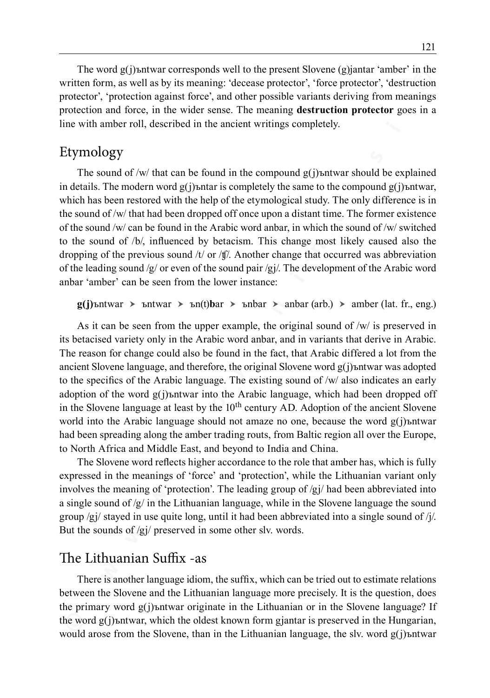The word g(j)ъntwar corresponds well to the present Slovene (g)jantar 'amber' in the written form, as well as by its meaning: 'decease protector', 'force protector', 'destruction protector', 'protection against force', and other possible variants deriving from meanings protection and force, in the wider sense. The meaning **destruction protector** goes in a line with amber roll, described in the ancient writings completely.

# Etymology

The sound of /w/ that can be found in the compound  $g(j)$ ъntwar should be explained in details. The modern word  $g(i)$ ъntar is completely the same to the compound  $g(i)$ ъntwar, which has been restored with the help of the etymological study. The only difference is in the sound of /w/ that had been dropped off once upon a distant time. The former existence of the sound /w/ can be found in the Arabic word anbar, in which the sound of /w/ switched to the sound of /b/, influenced by betacism. This change most likely caused also the dropping of the previous sound  $/t/$  or  $/t/$ . Another change that occurred was abbreviation of the leading sound  $\sqrt{g}$  or even of the sound pair  $\sqrt{g}$ . The development of the Arabic word anbar 'amber' can be seen from the lower instance:

 $g(j)$ ъntwar  $\triangleright$  ъntwar  $\triangleright$  ъn $(t)$ **b**ar  $\triangleright$  ъnbar  $\triangleright$  anbar (arb.)  $\triangleright$  amber (lat. fr., eng.)

**© w w w . k o r e n i n e . s i ©** As it can be seen from the upper example, the original sound of  $/w/$  is preserved in its betacised variety only in the Arabic word anbar, and in variants that derive in Arabic. The reason for change could also be found in the fact, that Arabic differed a lot from the ancient Slovene language, and therefore, the original Slovene word  $g(j)$ ъntwar was adopted to the specifics of the Arabic language. The existing sound of /w/ also indicates an early adoption of the word  $g(i)$ <sub>b</sub> that into the Arabic language, which had been dropped off in the Slovene language at least by the 10<sup>th</sup> century AD. Adoption of the ancient Slovene world into the Arabic language should not amaze no one, because the word  $g(j)$ ъntwar had been spreading along the amber trading routs, from Baltic region all over the Europe, to North Africa and Middle East, and beyond to India and China.

The Slovene word reflects higher accordance to the role that amber has, which is fully expressed in the meanings of 'force' and 'protection', while the Lithuanian variant only involves the meaning of 'protection'. The leading group of  $/gj$  had been abbreviated into a single sound of  $/g$  in the Lithuanian language, while in the Slovene language the sound group  $/gj$  stayed in use quite long, until it had been abbreviated into a single sound of  $/j$ . But the sounds of /gj/ preserved in some other slv. words.

# The Lithuanian Suffix -as

There is another language idiom, the suffix, which can be tried out to estimate relations between the Slovene and the Lithuanian language more precisely. It is the question, does the primary word g(j)ъntwar originate in the Lithuanian or in the Slovene language? If the word g(j)ъntwar, which the oldest known form gjantar is preserved in the Hungarian, would arose from the Slovene, than in the Lithuanian language, the slv. word  $g(j)$ ъntwar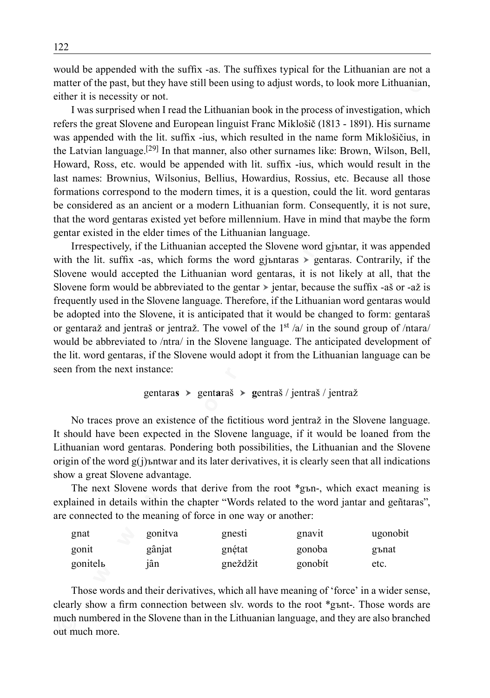would be appended with the suffix -as. The suffixes typical for the Lithuanian are not a matter of the past, but they have still been using to adjust words, to look more Lithuanian, either it is necessity or not.

I was surprised when I read the Lithuanian book in the process of investigation, which refers the great Slovene and European linguist Franc Miklošič (1813 - 1891). His surname was appended with the lit. suffix -ius, which resulted in the name form Miklošičius, in the Latvian language.[29] In that manner, also other surnames like: Brown, Wilson, Bell, Howard, Ross, etc. would be appended with lit. suffix ‑ius, which would result in the last names: Brownius, Wilsonius, Bellius, Howardius, Rossius, etc. Because all those formations correspond to the modern times, it is a question, could the lit. word gentaras be considered as an ancient or a modern Lithuanian form. Consequently, it is not sure, that the word gentaras existed yet before millennium. Have in mind that maybe the form gentar existed in the elder times of the Lithuanian language.

**Example 1 Example 1 Example 1 Example 1 Example 1 Example 1 Example 1 Example 1 Example 1 Example 1 Example 1 Example 1 Example 1 Example 1 Example 1 Example 1 Example 1 Example 1 Exam** Irrespectively, if the Lithuanian accepted the Slovene word gjъntar, it was appended with the lit. suffix -as, which forms the word gjъntaras  $\triangleright$  gentaras. Contrarily, if the Slovene would accepted the Lithuanian word gentaras, it is not likely at all, that the Slovene form would be abbreviated to the gentar  $\triangleright$  jentar, because the suffix –aš or –až is frequently used in the Slovene language. Therefore, if the Lithuanian word gentaras would be adopted into the Slovene, it is anticipated that it would be changed to form: gentaraš or gentaraž and jentraš or jentraž. The vowel of the 1<sup>st</sup> /a/ in the sound group of /ntara/ would be abbreviated to /ntra/ in the Slovene language. The anticipated development of the lit. word gentaras, if the Slovene would adopt it from the Lithuanian language can be seen from the next instance:

#### gentara**s** gent**a**raš **g**entraš / jentraš / jentraž

No traces prove an existence of the fictitious word jentraž in the Slovene language. It should have been expected in the Slovene language, if it would be loaned from the Lithuanian word gentaras. Pondering both possibilities, the Lithuanian and the Slovene origin of the word  $g(j)$ ъntwar and its later derivatives, it is clearly seen that all indications show a great Slovene advantage.

The next Slovene words that derive from the root \*gъn-, which exact meaning is explained in details within the chapter "Words related to the word jantar and geñtaras", are connected to the meaning of force in one way or another:

| gnat    | gonitya | gnesti   | gnavit  | ugonobit |
|---------|---------|----------|---------|----------|
| gonit   | gânjat  | gnétat   | gonoba  | gъnat    |
| gonitel | iân     | gneždžit | gonobit | etc.     |

Those words and their derivatives, which all have meaning of 'force' in a wider sense, clearly show a firm connection between slv. words to the root \*gъnt‑. Those words are much numbered in the Slovene than in the Lithuanian language, and they are also branched out much more.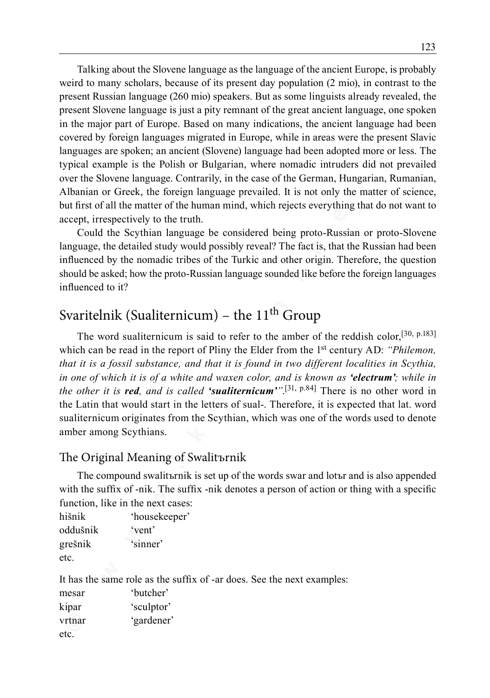**Example 20 w** a manism and the solution of the magnet of the solution (2 mio), in contrast to the solution (2 mio), products and the solution (2 mio), in contrast to the section Rissian Interagence (260 mio) speakers. Talking about the Slovene language as the language of the ancient Europe, is probably weird to many scholars, because of its present day population (2 mio), in contrast to the present Russian language (260 mio) speakers. But as some linguists already revealed, the present Slovene language is just a pity remnant of the great ancient language, one spoken in the major part of Europe. Based on many indications, the ancient language had been covered by foreign languages migrated in Europe, while in areas were the present Slavic languages are spoken; an ancient (Slovene) language had been adopted more or less. The typical example is the Polish or Bulgarian, where nomadic intruders did not prevailed over the Slovene language. Contrarily, in the case of the German, Hungarian, Rumanian, Albanian or Greek, the foreign language prevailed. It is not only the matter of science, but first of all the matter of the human mind, which rejects everything that do not want to accept, irrespectively to the truth.

Could the Scythian language be considered being proto-Russian or proto-Slovene language, the detailed study would possibly reveal? The fact is, that the Russian had been influenced by the nomadic tribes of the Turkic and other origin. Therefore, the question should be asked; how the proto-Russian language sounded like before the foreign languages influenced to it?

# Svaritelnik (Sualiternicum) – the  $11<sup>th</sup>$  Group

The word sualiternicum is said to refer to the amber of the reddish color,<sup>[30, p.183]</sup> which can be read in the report of Pliny the Elder from the 1<sup>st</sup> century AD: *"Philemon, that it is a fossil substance, and that it is found in two different localities in Scythia, in one of which it is of a white and waxen color, and is known as 'electrum'; while in the other it is red, and is called 'sualiternicum'"*. [31, p.84] There is no other word in the Latin that would start in the letters of sual‑. Therefore, it is expected that lat. word sualiternicum originates from the Scythian, which was one of the words used to denote amber among Scythians.

#### The Original Meaning of Swalitъrnik

The compound swalitъrnik is set up of the words swar and lotъr and is also appended with the suffix of -nik. The suffix -nik denotes a person of action or thing with a specific function, like in the next cases:

hišnik 'housekeeper' oddušnik 'vent' grešnik 'sinner' etc.

It has the same role as the suffix of -ar does. See the next examples:

| mesar  | 'butcher'  |
|--------|------------|
| kipar  | 'sculptor' |
| vrtnar | 'gardener' |
| etc.   |            |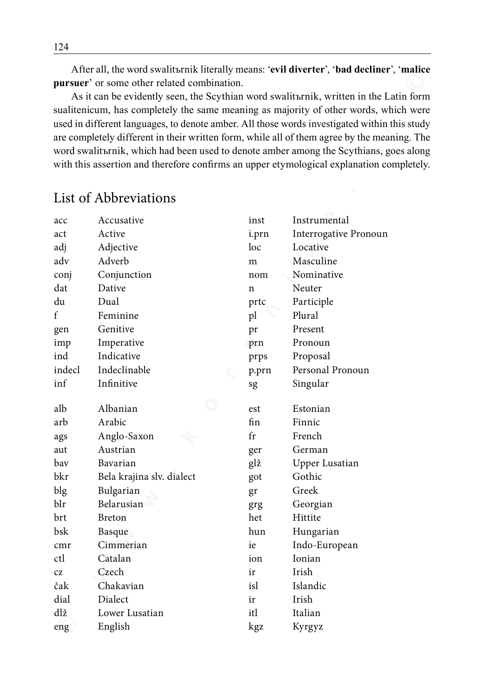After all, the word swalitъrnik literally means: '**evil diverter**', '**bad decliner**', '**malice pursuer**' or some other related combination.

| $\ldots$<br>pursuer' or some other related combination.<br>As it can be evidently seen, the Scythian word swalit anik, written in the Latin forn<br>sualitenicum, has completely the same meaning as majority of other words, which were<br>used in different languages, to denote amber. All those words investigated within this study<br>are completely different in their written form, while all of them agree by the meaning. The<br>word swalitsrnik, which had been used to denote amber among the Scythians, goes along<br>with this assertion and therefore confirms an upper etymological explanation completely |                           |             |                       |
|-----------------------------------------------------------------------------------------------------------------------------------------------------------------------------------------------------------------------------------------------------------------------------------------------------------------------------------------------------------------------------------------------------------------------------------------------------------------------------------------------------------------------------------------------------------------------------------------------------------------------------|---------------------------|-------------|-----------------------|
|                                                                                                                                                                                                                                                                                                                                                                                                                                                                                                                                                                                                                             | List of Abbreviations     |             |                       |
| acc                                                                                                                                                                                                                                                                                                                                                                                                                                                                                                                                                                                                                         | Accusative                | inst        | Instrumental          |
| act                                                                                                                                                                                                                                                                                                                                                                                                                                                                                                                                                                                                                         | Active                    | i.prn       | Interrogative Pronoun |
| adj                                                                                                                                                                                                                                                                                                                                                                                                                                                                                                                                                                                                                         | Adjective                 | loc         | Locative              |
| adv                                                                                                                                                                                                                                                                                                                                                                                                                                                                                                                                                                                                                         | Adverb                    | m           | Masculine             |
| conj                                                                                                                                                                                                                                                                                                                                                                                                                                                                                                                                                                                                                        | Conjunction               | nom         | Nominative            |
| dat                                                                                                                                                                                                                                                                                                                                                                                                                                                                                                                                                                                                                         | Dative                    | n           | Neuter                |
| du                                                                                                                                                                                                                                                                                                                                                                                                                                                                                                                                                                                                                          | Dual                      | prtc        | Participle            |
| f                                                                                                                                                                                                                                                                                                                                                                                                                                                                                                                                                                                                                           | Feminine                  | pl          | Plural                |
| gen                                                                                                                                                                                                                                                                                                                                                                                                                                                                                                                                                                                                                         | Genitive                  | pr          | Present               |
| imp                                                                                                                                                                                                                                                                                                                                                                                                                                                                                                                                                                                                                         | Imperative                | prn         | Pronoun               |
| ind                                                                                                                                                                                                                                                                                                                                                                                                                                                                                                                                                                                                                         | Indicative                | prps        | Proposal              |
| indecl                                                                                                                                                                                                                                                                                                                                                                                                                                                                                                                                                                                                                      | Indeclinable              | p.prn       | Personal Pronoun      |
| inf                                                                                                                                                                                                                                                                                                                                                                                                                                                                                                                                                                                                                         | Infinitive                | sg          | Singular              |
| alb                                                                                                                                                                                                                                                                                                                                                                                                                                                                                                                                                                                                                         | Albanian                  | est         | Estonian              |
| arb                                                                                                                                                                                                                                                                                                                                                                                                                                                                                                                                                                                                                         | Arabic                    | fin         | Finnic                |
| ags                                                                                                                                                                                                                                                                                                                                                                                                                                                                                                                                                                                                                         | Anglo-Saxon               | $_{\rm fr}$ | French                |
| aut                                                                                                                                                                                                                                                                                                                                                                                                                                                                                                                                                                                                                         | Austrian                  | ger         | German                |
| bav                                                                                                                                                                                                                                                                                                                                                                                                                                                                                                                                                                                                                         | Bavarian                  | glž         | Upper Lusatian        |
| bkr                                                                                                                                                                                                                                                                                                                                                                                                                                                                                                                                                                                                                         | Bela krajina slv. dialect | got         | Gothic                |
| blg                                                                                                                                                                                                                                                                                                                                                                                                                                                                                                                                                                                                                         | Bulgarian                 | gr          | Greek                 |
| blr                                                                                                                                                                                                                                                                                                                                                                                                                                                                                                                                                                                                                         | Belarusian                | grg         | Georgian              |
| brt                                                                                                                                                                                                                                                                                                                                                                                                                                                                                                                                                                                                                         | <b>Breton</b>             | het         | Hittite               |
| bsk                                                                                                                                                                                                                                                                                                                                                                                                                                                                                                                                                                                                                         | Basque                    | hun         | Hungarian             |
| cmr                                                                                                                                                                                                                                                                                                                                                                                                                                                                                                                                                                                                                         | Cimmerian                 | ie          | Indo-European         |
| ctl                                                                                                                                                                                                                                                                                                                                                                                                                                                                                                                                                                                                                         | Catalan                   | ion         | Ionian                |
| CZ                                                                                                                                                                                                                                                                                                                                                                                                                                                                                                                                                                                                                          | Czech                     | ir          | Irish                 |
| čak                                                                                                                                                                                                                                                                                                                                                                                                                                                                                                                                                                                                                         | Chakavian                 | isl         | Islandic              |
| dial                                                                                                                                                                                                                                                                                                                                                                                                                                                                                                                                                                                                                        | Dialect                   | ir          | Irish                 |
| dlž                                                                                                                                                                                                                                                                                                                                                                                                                                                                                                                                                                                                                         | Lower Lusatian            | itl         | Italian               |
| eng                                                                                                                                                                                                                                                                                                                                                                                                                                                                                                                                                                                                                         | English                   | kgz         | Kyrgyz                |

# List of Abbreviations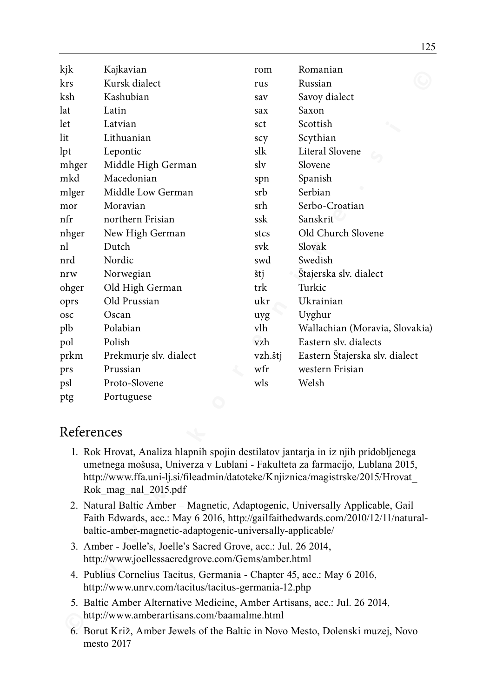| kjk                                                                                                                                                                                                                                                                        | Kajkavian                                                                                                                     | rom     | Romanian                       |  |
|----------------------------------------------------------------------------------------------------------------------------------------------------------------------------------------------------------------------------------------------------------------------------|-------------------------------------------------------------------------------------------------------------------------------|---------|--------------------------------|--|
| krs                                                                                                                                                                                                                                                                        | Kursk dialect                                                                                                                 | rus     | Russian                        |  |
| ksh                                                                                                                                                                                                                                                                        | Kashubian                                                                                                                     | sav     | Savoy dialect                  |  |
| lat                                                                                                                                                                                                                                                                        | Latin                                                                                                                         | sax     | Saxon                          |  |
| let                                                                                                                                                                                                                                                                        | Latvian                                                                                                                       | sct     | Scottish                       |  |
| lit                                                                                                                                                                                                                                                                        | Lithuanian                                                                                                                    | scy     | Scythian                       |  |
| lpt                                                                                                                                                                                                                                                                        | Lepontic                                                                                                                      | slk     | Literal Slovene                |  |
| mhger                                                                                                                                                                                                                                                                      | Middle High German                                                                                                            | slv     | Slovene                        |  |
| mkd                                                                                                                                                                                                                                                                        | Macedonian                                                                                                                    | spn     | Spanish                        |  |
| mlger                                                                                                                                                                                                                                                                      | Middle Low German                                                                                                             | srb     | Serbian                        |  |
| mor                                                                                                                                                                                                                                                                        | Moravian                                                                                                                      | srh     | Serbo-Croatian                 |  |
| nfr                                                                                                                                                                                                                                                                        | northern Frisian                                                                                                              | ssk     | Sanskrit                       |  |
| nhger                                                                                                                                                                                                                                                                      | New High German                                                                                                               | stcs    | Old Church Slovene             |  |
| nl                                                                                                                                                                                                                                                                         | Dutch                                                                                                                         | svk     | Slovak                         |  |
| nrd                                                                                                                                                                                                                                                                        | Nordic                                                                                                                        | swd     | Swedish                        |  |
| nrw                                                                                                                                                                                                                                                                        | Norwegian                                                                                                                     | štj     | Štajerska slv. dialect         |  |
| ohger                                                                                                                                                                                                                                                                      | Old High German                                                                                                               | trk     | Turkic                         |  |
| oprs                                                                                                                                                                                                                                                                       | Old Prussian                                                                                                                  | ukr     | Ukrainian                      |  |
| osc                                                                                                                                                                                                                                                                        | Oscan                                                                                                                         | uyg     | Uyghur                         |  |
| plb                                                                                                                                                                                                                                                                        | Polabian                                                                                                                      | vlh     | Wallachian (Moravia, Slovakia) |  |
| pol                                                                                                                                                                                                                                                                        | Polish                                                                                                                        | vzh     | Eastern slv. dialects          |  |
| prkm                                                                                                                                                                                                                                                                       | Prekmurje slv. dialect                                                                                                        | vzh.štj | Eastern Štajerska slv. dialect |  |
| prs                                                                                                                                                                                                                                                                        | Prussian                                                                                                                      | wfr     | western Frisian                |  |
| psl                                                                                                                                                                                                                                                                        | Proto-Slovene                                                                                                                 | wls     | Welsh                          |  |
| ptg                                                                                                                                                                                                                                                                        | Portuguese                                                                                                                    |         |                                |  |
| References                                                                                                                                                                                                                                                                 |                                                                                                                               |         |                                |  |
| 1. Rok Hrovat, Analiza hlapnih spojin destilatov jantarja in iz njih pridobljenega<br>umetnega mošusa, Univerza v Lublani - Fakulteta za farmacijo, Lublana 2015,<br>http://www.ffa.uni-lj.si/fileadmin/datoteke/Knjiznica/magistrske/2015/Hrovat_<br>Rok_mag_nal_2015.pdf |                                                                                                                               |         |                                |  |
| 2. Natural Baltic Amber - Magnetic, Adaptogenic, Universally Applicable, Gail<br>Faith Edwards, acc.: May 6 2016, http://gailfaithedwards.com/2010/12/11/natural-<br>baltic-amber-magnetic-adaptogenic-universally-applicable/                                             |                                                                                                                               |         |                                |  |
| 3. Amber - Joelle's, Joelle's Sacred Grove, acc.: Jul. 26 2014,<br>http://www.joellessacredgrove.com/Gems/amber.html                                                                                                                                                       |                                                                                                                               |         |                                |  |
|                                                                                                                                                                                                                                                                            | 4. Publius Cornelius Tacitus, Germania - Chapter 45, acc.: May 6 2016,<br>http://www.unrv.com/tacitus/tacitus-germania-12.php |         |                                |  |
|                                                                                                                                                                                                                                                                            | 5. Baltic Amber Alternative Medicine, Amber Artisans, acc.: Jul. 26 2014,<br>http://www.amberartisans.com/baamalme.html       |         |                                |  |
|                                                                                                                                                                                                                                                                            | 6. Borut Križ, Amber Jewels of the Baltic in Novo Mesto. Dolenski muzei, Novo                                                 |         |                                |  |

# References

- 1. Rok Hrovat, Analiza hlapnih spojin destilatov jantarja in iz njih pridobljenega umetnega mošusa, Univerza v Lublani - Fakulteta za farmacijo, Lublana 2015, http://www.ffa.uni-lj.si/fileadmin/datoteke/Knjiznica/magistrske/2015/Hrovat\_ Rok\_mag\_nal\_2015.pdf
- 2. Natural Baltic Amber Magnetic, Adaptogenic, Universally Applicable, Gail Faith Edwards, acc.: May 6 2016, http://gailfaithedwards.com/2010/12/11/naturalbaltic-amber-magnetic-adaptogenic-universally-applicable/
- 3. Amber Joelle's, Joelle's Sacred Grove, acc.: Jul. 26 2014, http://www.joellessacredgrove.com/Gems/amber.html
- 4. Publius Cornelius Tacitus, Germania Chapter 45, acc.: May 6 2016, http://www.unrv.com/tacitus/tacitus-germania-12.php
- 5. Baltic Amber Alternative Medicine, Amber Artisans, acc.: Jul. 26 2014, http://www.amberartisans.com/baamalme.html
- 6. Borut Križ, Amber Jewels of the Baltic in Novo Mesto, Dolenski muzej, Novo mesto 2017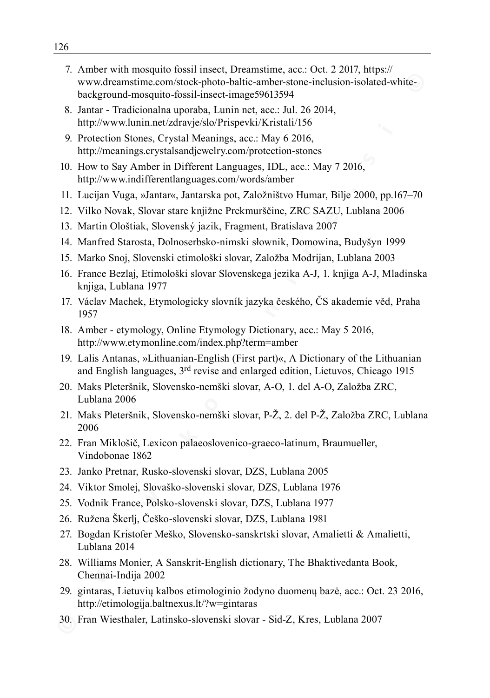- www.dreamstime.com/solos/photo-baltic-amber-sione-inclusion-isolated-white-<br>hard-white-pastel insect-image59615394<br>
MHT Tradicionsha uporaba, Lumin net, acc. Jul. 26 2014,<br>
http://www.ulum.net.edvate/solof/Pispe-WickTest 7. Amber with mosquito fossil insect, Dreamstime, acc.: Oct. 2 2017, https:// www.dreamstime.com/stock-photo-baltic-amber-stone-inclusion-isolated-whitebackground-mosquito-fossil-insect-image59613594
	- 8. Jantar Tradicionalna uporaba, Lunin net, acc.: Jul. 26 2014, http://www.lunin.net/zdravje/slo/Prispevki/Kristali/156
	- 9. Protection Stones, Crystal Meanings, acc.: May 6 2016, http://meanings.crystalsandjewelry.com/protection-stones
- 10. How to Say Amber in Different Languages, IDL, acc.: May 7 2016, http://www.indifferentlanguages.com/words/amber
- 11. Lucijan Vuga, »Jantar«, Jantarska pot, Založništvo Humar, Bilje 2000, pp.167–70
- 12. Vilko Novak, Slovar stare knjižne Prekmurščine, ZRC SAZU, Lublana 2006
- 13. Martin Ološtiak, Slovenský jazik, Fragment, Bratislava 2007
- 14. Manfred Starosta, Dolnoserbsko-nimski słownik, Domowina, Budyšyn 1999
- 15. Marko Snoj, Slovenski etimološki slovar, Založba Modrijan, Lublana 2003
- 16. France Bezlaj, Etimološki slovar Slovenskega jezika A-J, 1. knjiga A-J, Mladinska knjiga, Lublana 1977
- 17. Václav Machek, Etymologicky slovník jazyka českého, ČS akademie věd, Praha 1957
- 18. Amber etymology, Online Etymology Dictionary, acc.: May 5 2016, http://www.etymonline.com/index.php?term=amber
- 19. Lalis Antanas, »Lithuanian-English (First part)«, A Dictionary of the Lithuanian and English languages, 3rd revise and enlarged edition, Lietuvos, Chicago 1915
- 20. Maks Pleteršnik, Slovensko-nemški slovar, A-O, 1. del A-O, Založba ZRC, Lublana 2006
- 21. Maks Pleteršnik, Slovensko-nemški slovar, P-Ž, 2. del P-Ž, Založba ZRC, Lublana 2006
- 22. Fran Miklošič, Lexicon palaeoslovenico-graeco-latinum, Braumueller, Vindobonae 1862
- 23. Janko Pretnar, Rusko-slovenski slovar, DZS, Lublana 2005
- 24. Viktor Smolej, Slovaško-slovenski slovar, DZS, Lublana 1976
- 25. Vodnik France, Polsko-slovenski slovar, DZS, Lublana 1977
- 26. Ružena Škerlj, Češko-slovenski slovar, DZS, Lublana 1981
- 27. Bogdan Kristofer Meško, Slovensko-sanskrtski slovar, Amalietti & Amalietti, Lublana 2014
- 28. Williams Monier, A Sanskrit-English dictionary, The Bhaktivedanta Book, Chennai-Indija 2002
- 29. gintaras, Lietuvių kalbos etimologinio žodyno duomenų bazė, acc.: Oct. 23 2016, http://etimologija.baltnexus.lt/?w=gintaras
- 30. Fran Wiesthaler, Latinsko-slovenski slovar Sid-Z, Kres, Lublana 2007